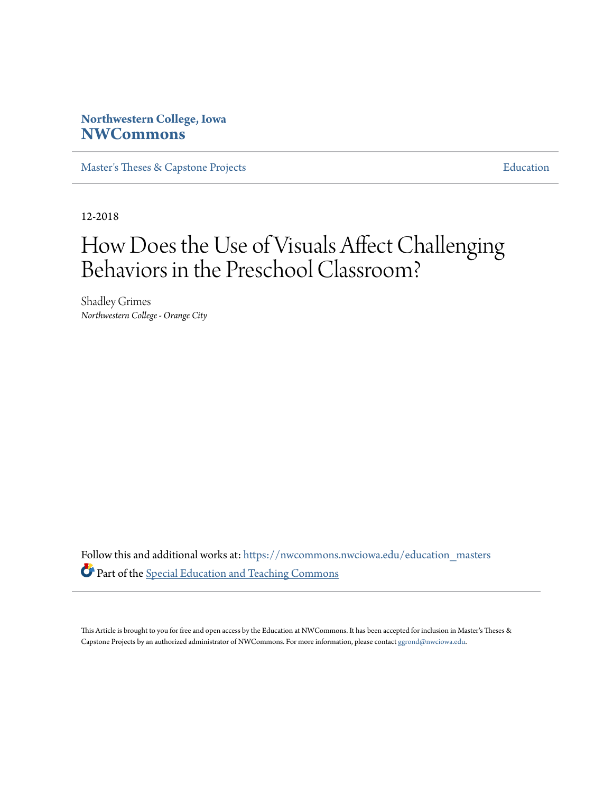# **Northwestern College, Iowa [NWCommons](https://nwcommons.nwciowa.edu?utm_source=nwcommons.nwciowa.edu%2Feducation_masters%2F95&utm_medium=PDF&utm_campaign=PDFCoverPages)**

[Master's Theses & Capstone Projects](https://nwcommons.nwciowa.edu/education_masters?utm_source=nwcommons.nwciowa.edu%2Feducation_masters%2F95&utm_medium=PDF&utm_campaign=PDFCoverPages) **[Education](https://nwcommons.nwciowa.edu/education?utm_source=nwcommons.nwciowa.edu%2Feducation_masters%2F95&utm_medium=PDF&utm_campaign=PDFCoverPages)** 

12-2018

# How Does the Use of Visuals Affect Challenging Behaviors in the Preschool Classroom?

Shadley Grimes *Northwestern College - Orange City*

Follow this and additional works at: [https://nwcommons.nwciowa.edu/education\\_masters](https://nwcommons.nwciowa.edu/education_masters?utm_source=nwcommons.nwciowa.edu%2Feducation_masters%2F95&utm_medium=PDF&utm_campaign=PDFCoverPages) Part of the [Special Education and Teaching Commons](http://network.bepress.com/hgg/discipline/801?utm_source=nwcommons.nwciowa.edu%2Feducation_masters%2F95&utm_medium=PDF&utm_campaign=PDFCoverPages)

This Article is brought to you for free and open access by the Education at NWCommons. It has been accepted for inclusion in Master's Theses & Capstone Projects by an authorized administrator of NWCommons. For more information, please contact [ggrond@nwciowa.edu.](mailto:ggrond@nwciowa.edu)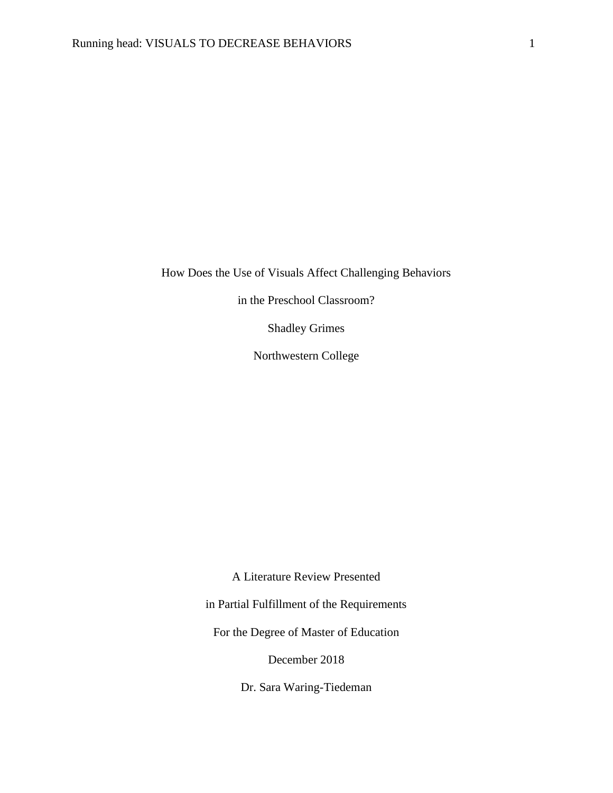How Does the Use of Visuals Affect Challenging Behaviors

in the Preschool Classroom?

Shadley Grimes

Northwestern College

A Literature Review Presented

in Partial Fulfillment of the Requirements

For the Degree of Master of Education

December 2018

Dr. Sara Waring-Tiedeman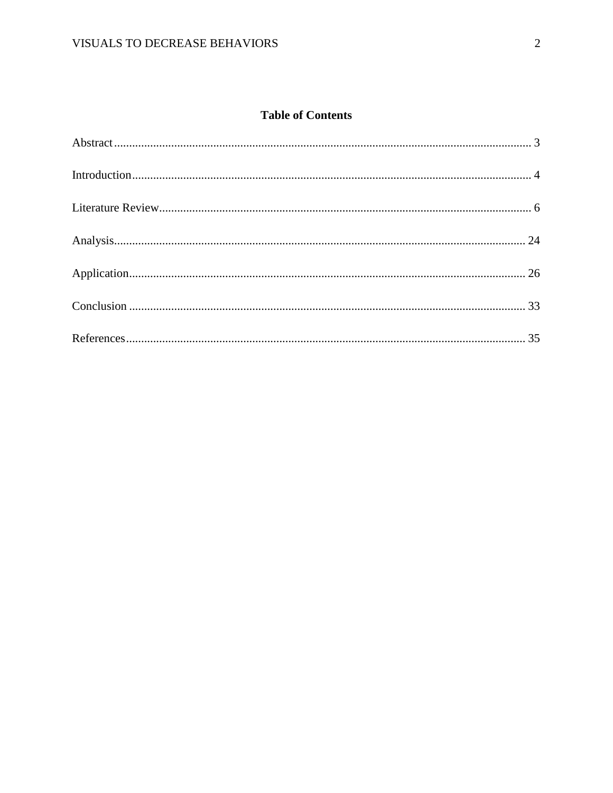# **Table of Contents**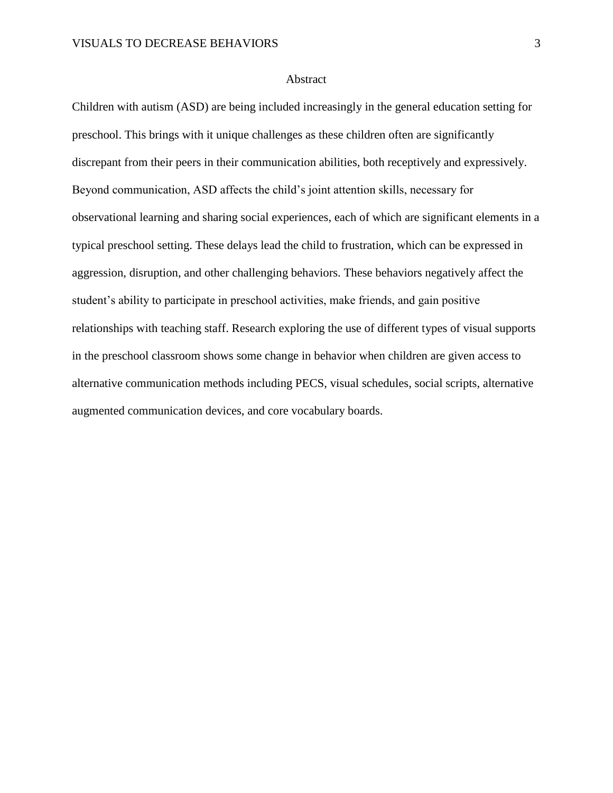#### Abstract

<span id="page-3-0"></span>Children with autism (ASD) are being included increasingly in the general education setting for preschool. This brings with it unique challenges as these children often are significantly discrepant from their peers in their communication abilities, both receptively and expressively. Beyond communication, ASD affects the child's joint attention skills, necessary for observational learning and sharing social experiences, each of which are significant elements in a typical preschool setting. These delays lead the child to frustration, which can be expressed in aggression, disruption, and other challenging behaviors. These behaviors negatively affect the student's ability to participate in preschool activities, make friends, and gain positive relationships with teaching staff. Research exploring the use of different types of visual supports in the preschool classroom shows some change in behavior when children are given access to alternative communication methods including PECS, visual schedules, social scripts, alternative augmented communication devices, and core vocabulary boards.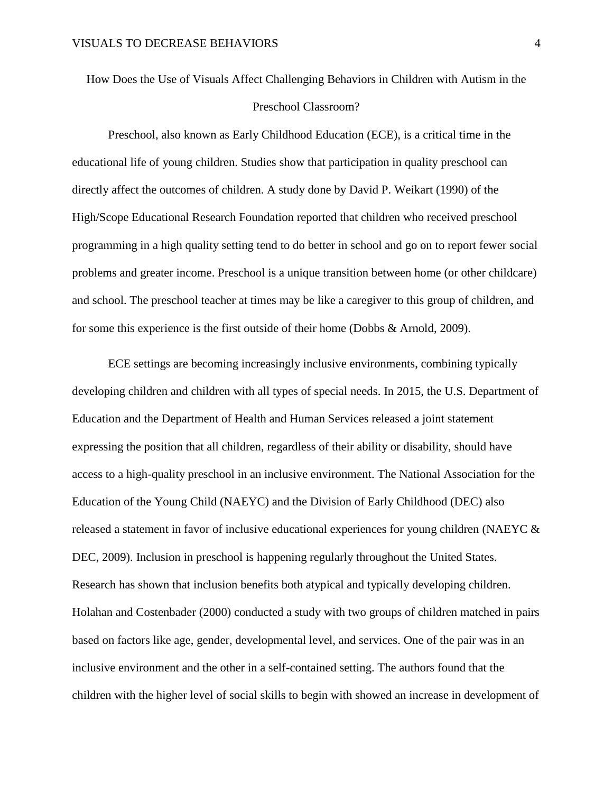<span id="page-4-0"></span>How Does the Use of Visuals Affect Challenging Behaviors in Children with Autism in the Preschool Classroom?

Preschool, also known as Early Childhood Education (ECE), is a critical time in the educational life of young children. Studies show that participation in quality preschool can directly affect the outcomes of children. A study done by David P. Weikart (1990) of the High/Scope Educational Research Foundation reported that children who received preschool programming in a high quality setting tend to do better in school and go on to report fewer social problems and greater income. Preschool is a unique transition between home (or other childcare) and school. The preschool teacher at times may be like a caregiver to this group of children, and for some this experience is the first outside of their home (Dobbs & Arnold, 2009).

ECE settings are becoming increasingly inclusive environments, combining typically developing children and children with all types of special needs. In 2015, the U.S. Department of Education and the Department of Health and Human Services released a joint statement expressing the position that all children, regardless of their ability or disability, should have access to a high-quality preschool in an inclusive environment. The National Association for the Education of the Young Child (NAEYC) and the Division of Early Childhood (DEC) also released a statement in favor of inclusive educational experiences for young children (NAEYC & DEC, 2009). Inclusion in preschool is happening regularly throughout the United States. Research has shown that inclusion benefits both atypical and typically developing children. Holahan and Costenbader (2000) conducted a study with two groups of children matched in pairs based on factors like age, gender, developmental level, and services. One of the pair was in an inclusive environment and the other in a self-contained setting. The authors found that the children with the higher level of social skills to begin with showed an increase in development of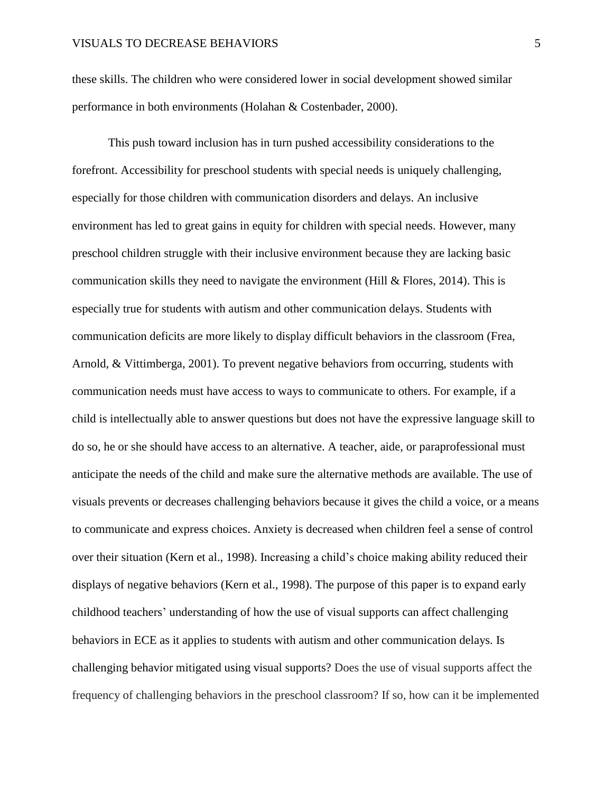these skills. The children who were considered lower in social development showed similar performance in both environments (Holahan & Costenbader, 2000).

This push toward inclusion has in turn pushed accessibility considerations to the forefront. Accessibility for preschool students with special needs is uniquely challenging, especially for those children with communication disorders and delays. An inclusive environment has led to great gains in equity for children with special needs. However, many preschool children struggle with their inclusive environment because they are lacking basic communication skills they need to navigate the environment (Hill & Flores, 2014). This is especially true for students with autism and other communication delays. Students with communication deficits are more likely to display difficult behaviors in the classroom (Frea, Arnold, & Vittimberga, 2001). To prevent negative behaviors from occurring, students with communication needs must have access to ways to communicate to others. For example, if a child is intellectually able to answer questions but does not have the expressive language skill to do so, he or she should have access to an alternative. A teacher, aide, or paraprofessional must anticipate the needs of the child and make sure the alternative methods are available. The use of visuals prevents or decreases challenging behaviors because it gives the child a voice, or a means to communicate and express choices. Anxiety is decreased when children feel a sense of control over their situation (Kern et al., 1998). Increasing a child's choice making ability reduced their displays of negative behaviors (Kern et al., 1998). The purpose of this paper is to expand early childhood teachers' understanding of how the use of visual supports can affect challenging behaviors in ECE as it applies to students with autism and other communication delays. Is challenging behavior mitigated using visual supports? Does the use of visual supports affect the frequency of challenging behaviors in the preschool classroom? If so, how can it be implemented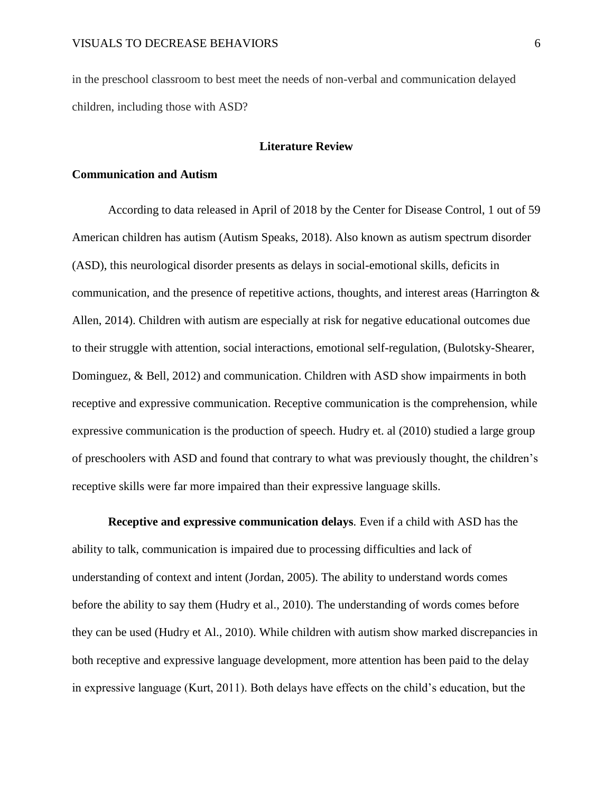in the preschool classroom to best meet the needs of non-verbal and communication delayed children, including those with ASD?

#### **Literature Review**

#### <span id="page-6-0"></span>**Communication and Autism**

According to data released in April of 2018 by the Center for Disease Control, 1 out of 59 American children has autism (Autism Speaks, 2018). Also known as autism spectrum disorder (ASD), this neurological disorder presents as delays in social-emotional skills, deficits in communication, and the presence of repetitive actions, thoughts, and interest areas (Harrington  $\&$ Allen, 2014). Children with autism are especially at risk for negative educational outcomes due to their struggle with attention, social interactions, emotional self-regulation, (Bulotsky-Shearer, Dominguez, & Bell, 2012) and communication. Children with ASD show impairments in both receptive and expressive communication. Receptive communication is the comprehension, while expressive communication is the production of speech. Hudry et. al (2010) studied a large group of preschoolers with ASD and found that contrary to what was previously thought, the children's receptive skills were far more impaired than their expressive language skills.

**Receptive and expressive communication delays***.* Even if a child with ASD has the ability to talk, communication is impaired due to processing difficulties and lack of understanding of context and intent (Jordan, 2005). The ability to understand words comes before the ability to say them (Hudry et al., 2010). The understanding of words comes before they can be used (Hudry et Al., 2010). While children with autism show marked discrepancies in both receptive and expressive language development, more attention has been paid to the delay in expressive language (Kurt, 2011). Both delays have effects on the child's education, but the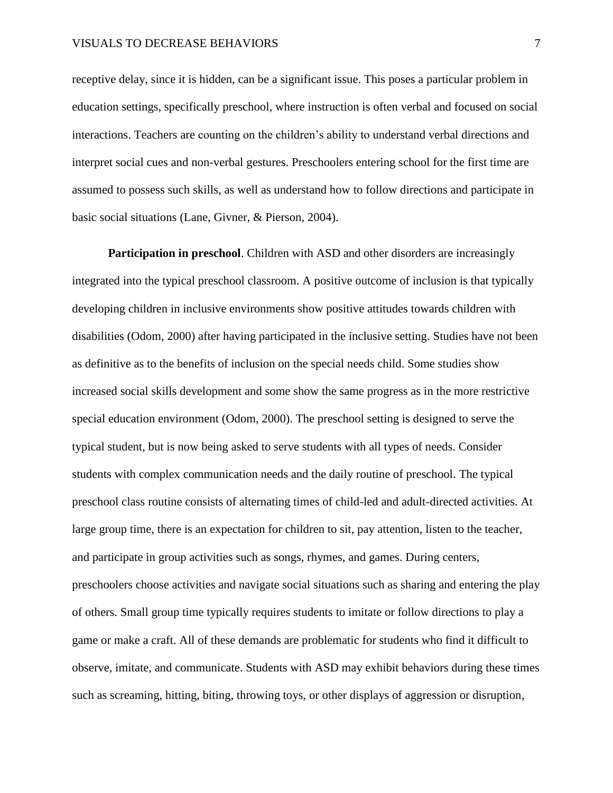receptive delay, since it is hidden, can be a significant issue. This poses a particular problem in education settings, specifically preschool, where instruction is often verbal and focused on social interactions. Teachers are counting on the children's ability to understand verbal directions and interpret social cues and non-verbal gestures. Preschoolers entering school for the first time are assumed to possess such skills, as well as understand how to follow directions and participate in basic social situations (Lane, Givner, & Pierson, 2004).

**Participation in preschool.** Children with ASD and other disorders are increasingly integrated into the typical preschool classroom. A positive outcome of inclusion is that typically developing children in inclusive environments show positive attitudes towards children with disabilities (Odom, 2000) after having participated in the inclusive setting. Studies have not been as definitive as to the benefits of inclusion on the special needs child. Some studies show increased social skills development and some show the same progress as in the more restrictive special education environment (Odom, 2000). The preschool setting is designed to serve the typical student, but is now being asked to serve students with all types of needs. Consider students with complex communication needs and the daily routine of preschool. The typical preschool class routine consists of alternating times of child-led and adult-directed activities. At large group time, there is an expectation for children to sit, pay attention, listen to the teacher, and participate in group activities such as songs, rhymes, and games. During centers, preschoolers choose activities and navigate social situations such as sharing and entering the play of others. Small group time typically requires students to imitate or follow directions to play a game or make a craft. All of these demands are problematic for students who find it difficult to observe, imitate, and communicate. Students with ASD may exhibit behaviors during these times such as screaming, hitting, biting, throwing toys, or other displays of aggression or disruption,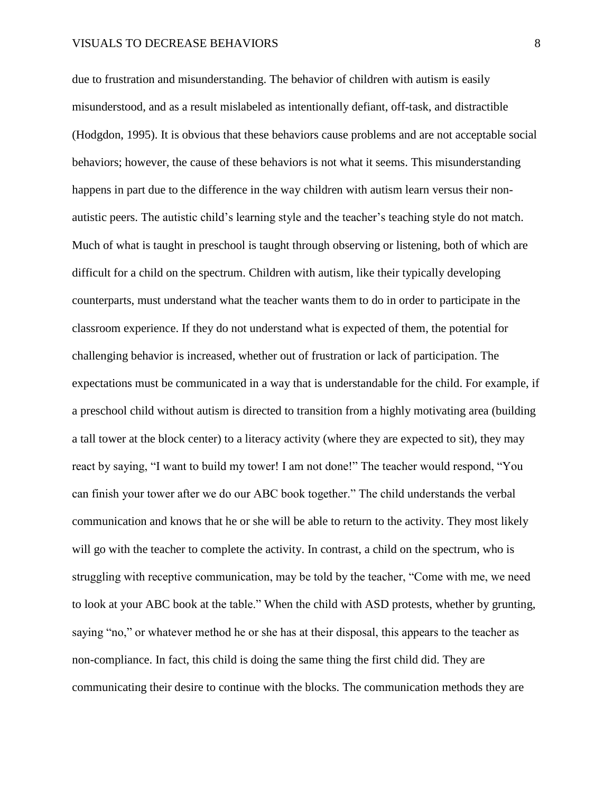due to frustration and misunderstanding. The behavior of children with autism is easily misunderstood, and as a result mislabeled as intentionally defiant, off-task, and distractible (Hodgdon, 1995). It is obvious that these behaviors cause problems and are not acceptable social behaviors; however, the cause of these behaviors is not what it seems. This misunderstanding happens in part due to the difference in the way children with autism learn versus their nonautistic peers. The autistic child's learning style and the teacher's teaching style do not match. Much of what is taught in preschool is taught through observing or listening, both of which are difficult for a child on the spectrum. Children with autism, like their typically developing counterparts, must understand what the teacher wants them to do in order to participate in the classroom experience. If they do not understand what is expected of them, the potential for challenging behavior is increased, whether out of frustration or lack of participation. The expectations must be communicated in a way that is understandable for the child. For example, if a preschool child without autism is directed to transition from a highly motivating area (building a tall tower at the block center) to a literacy activity (where they are expected to sit), they may react by saying, "I want to build my tower! I am not done!" The teacher would respond, "You can finish your tower after we do our ABC book together." The child understands the verbal communication and knows that he or she will be able to return to the activity. They most likely will go with the teacher to complete the activity. In contrast, a child on the spectrum, who is struggling with receptive communication, may be told by the teacher, "Come with me, we need to look at your ABC book at the table." When the child with ASD protests, whether by grunting, saying "no," or whatever method he or she has at their disposal, this appears to the teacher as non-compliance. In fact, this child is doing the same thing the first child did. They are communicating their desire to continue with the blocks. The communication methods they are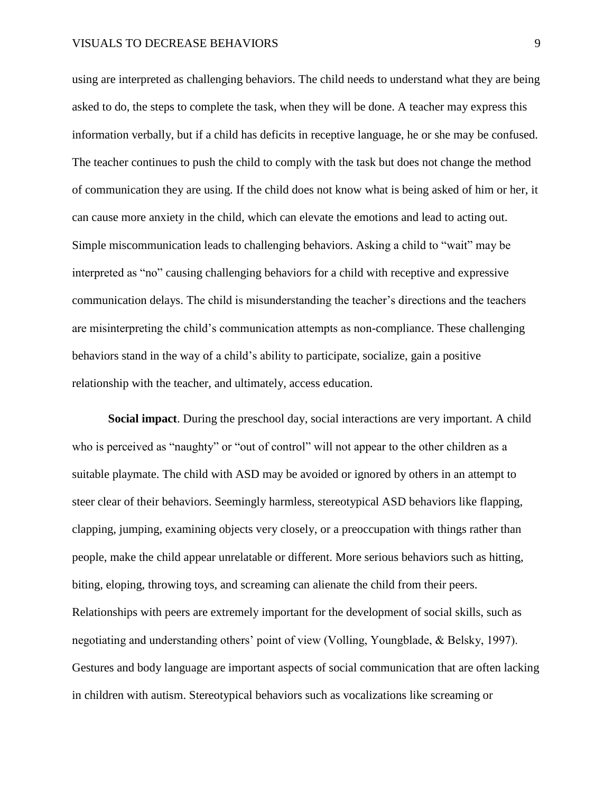using are interpreted as challenging behaviors. The child needs to understand what they are being asked to do, the steps to complete the task, when they will be done. A teacher may express this information verbally, but if a child has deficits in receptive language, he or she may be confused. The teacher continues to push the child to comply with the task but does not change the method of communication they are using. If the child does not know what is being asked of him or her, it can cause more anxiety in the child, which can elevate the emotions and lead to acting out. Simple miscommunication leads to challenging behaviors. Asking a child to "wait" may be interpreted as "no" causing challenging behaviors for a child with receptive and expressive communication delays. The child is misunderstanding the teacher's directions and the teachers are misinterpreting the child's communication attempts as non-compliance. These challenging behaviors stand in the way of a child's ability to participate, socialize, gain a positive relationship with the teacher, and ultimately, access education.

**Social impact**. During the preschool day, social interactions are very important. A child who is perceived as "naughty" or "out of control" will not appear to the other children as a suitable playmate. The child with ASD may be avoided or ignored by others in an attempt to steer clear of their behaviors. Seemingly harmless, stereotypical ASD behaviors like flapping, clapping, jumping, examining objects very closely, or a preoccupation with things rather than people, make the child appear unrelatable or different. More serious behaviors such as hitting, biting, eloping, throwing toys, and screaming can alienate the child from their peers. Relationships with peers are extremely important for the development of social skills, such as negotiating and understanding others' point of view (Volling, Youngblade, & Belsky, 1997). Gestures and body language are important aspects of social communication that are often lacking in children with autism. Stereotypical behaviors such as vocalizations like screaming or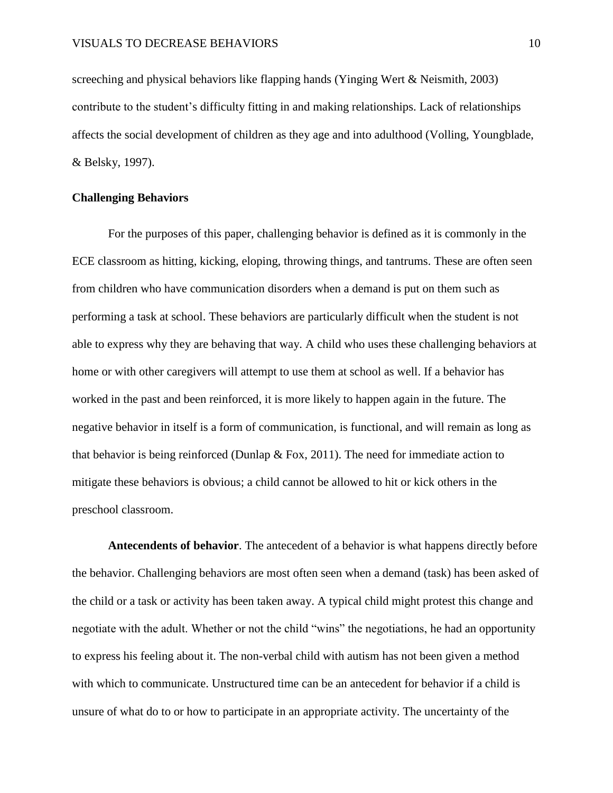screeching and physical behaviors like flapping hands (Yinging Wert & Neismith, 2003) contribute to the student's difficulty fitting in and making relationships. Lack of relationships affects the social development of children as they age and into adulthood (Volling, Youngblade, & Belsky, 1997).

## **Challenging Behaviors**

For the purposes of this paper, challenging behavior is defined as it is commonly in the ECE classroom as hitting, kicking, eloping, throwing things, and tantrums. These are often seen from children who have communication disorders when a demand is put on them such as performing a task at school. These behaviors are particularly difficult when the student is not able to express why they are behaving that way. A child who uses these challenging behaviors at home or with other caregivers will attempt to use them at school as well. If a behavior has worked in the past and been reinforced, it is more likely to happen again in the future. The negative behavior in itself is a form of communication, is functional, and will remain as long as that behavior is being reinforced (Dunlap  $\&$  Fox, 2011). The need for immediate action to mitigate these behaviors is obvious; a child cannot be allowed to hit or kick others in the preschool classroom.

**Antecendents of behavior**. The antecedent of a behavior is what happens directly before the behavior. Challenging behaviors are most often seen when a demand (task) has been asked of the child or a task or activity has been taken away. A typical child might protest this change and negotiate with the adult. Whether or not the child "wins" the negotiations, he had an opportunity to express his feeling about it. The non-verbal child with autism has not been given a method with which to communicate. Unstructured time can be an antecedent for behavior if a child is unsure of what do to or how to participate in an appropriate activity. The uncertainty of the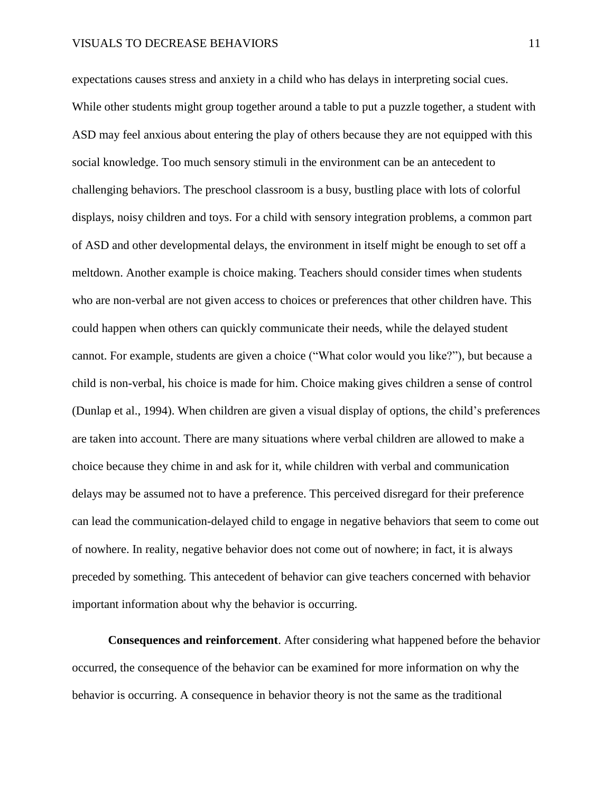expectations causes stress and anxiety in a child who has delays in interpreting social cues. While other students might group together around a table to put a puzzle together, a student with ASD may feel anxious about entering the play of others because they are not equipped with this social knowledge. Too much sensory stimuli in the environment can be an antecedent to challenging behaviors. The preschool classroom is a busy, bustling place with lots of colorful displays, noisy children and toys. For a child with sensory integration problems, a common part of ASD and other developmental delays, the environment in itself might be enough to set off a meltdown. Another example is choice making. Teachers should consider times when students who are non-verbal are not given access to choices or preferences that other children have. This could happen when others can quickly communicate their needs, while the delayed student cannot. For example, students are given a choice ("What color would you like?"), but because a child is non-verbal, his choice is made for him. Choice making gives children a sense of control (Dunlap et al., 1994). When children are given a visual display of options, the child's preferences are taken into account. There are many situations where verbal children are allowed to make a choice because they chime in and ask for it, while children with verbal and communication delays may be assumed not to have a preference. This perceived disregard for their preference can lead the communication-delayed child to engage in negative behaviors that seem to come out of nowhere. In reality, negative behavior does not come out of nowhere; in fact, it is always preceded by something. This antecedent of behavior can give teachers concerned with behavior important information about why the behavior is occurring.

**Consequences and reinforcement**. After considering what happened before the behavior occurred, the consequence of the behavior can be examined for more information on why the behavior is occurring. A consequence in behavior theory is not the same as the traditional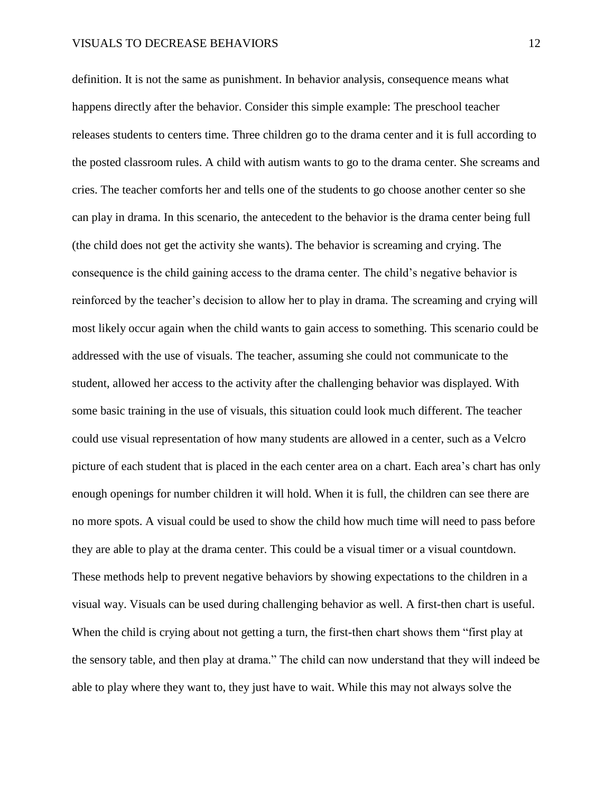definition. It is not the same as punishment. In behavior analysis, consequence means what happens directly after the behavior. Consider this simple example: The preschool teacher releases students to centers time. Three children go to the drama center and it is full according to the posted classroom rules. A child with autism wants to go to the drama center. She screams and cries. The teacher comforts her and tells one of the students to go choose another center so she can play in drama. In this scenario, the antecedent to the behavior is the drama center being full (the child does not get the activity she wants). The behavior is screaming and crying. The consequence is the child gaining access to the drama center. The child's negative behavior is reinforced by the teacher's decision to allow her to play in drama. The screaming and crying will most likely occur again when the child wants to gain access to something. This scenario could be addressed with the use of visuals. The teacher, assuming she could not communicate to the student, allowed her access to the activity after the challenging behavior was displayed. With some basic training in the use of visuals, this situation could look much different. The teacher could use visual representation of how many students are allowed in a center, such as a Velcro picture of each student that is placed in the each center area on a chart. Each area's chart has only enough openings for number children it will hold. When it is full, the children can see there are no more spots. A visual could be used to show the child how much time will need to pass before they are able to play at the drama center. This could be a visual timer or a visual countdown. These methods help to prevent negative behaviors by showing expectations to the children in a visual way. Visuals can be used during challenging behavior as well. A first-then chart is useful. When the child is crying about not getting a turn, the first-then chart shows them "first play at the sensory table, and then play at drama." The child can now understand that they will indeed be able to play where they want to, they just have to wait. While this may not always solve the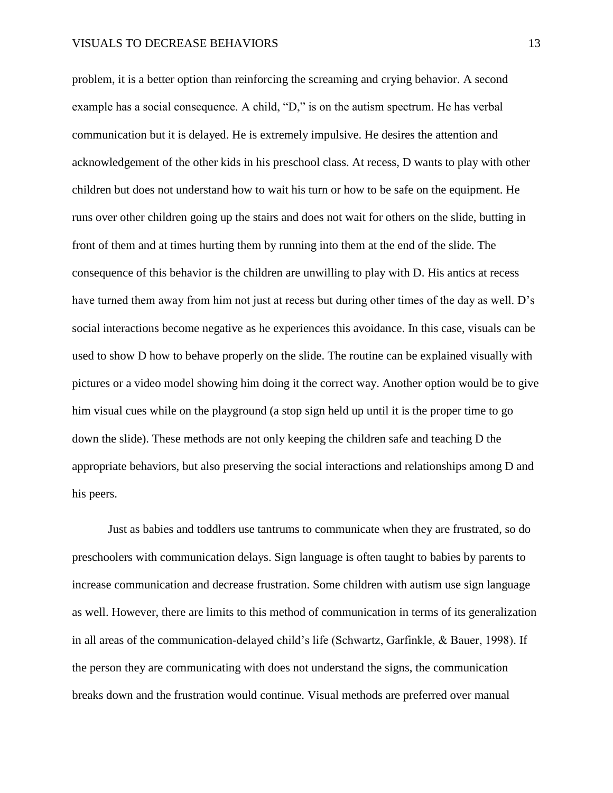problem, it is a better option than reinforcing the screaming and crying behavior. A second example has a social consequence. A child, "D," is on the autism spectrum. He has verbal communication but it is delayed. He is extremely impulsive. He desires the attention and acknowledgement of the other kids in his preschool class. At recess, D wants to play with other children but does not understand how to wait his turn or how to be safe on the equipment. He runs over other children going up the stairs and does not wait for others on the slide, butting in front of them and at times hurting them by running into them at the end of the slide. The consequence of this behavior is the children are unwilling to play with D. His antics at recess have turned them away from him not just at recess but during other times of the day as well. D's social interactions become negative as he experiences this avoidance. In this case, visuals can be used to show D how to behave properly on the slide. The routine can be explained visually with pictures or a video model showing him doing it the correct way. Another option would be to give him visual cues while on the playground (a stop sign held up until it is the proper time to go down the slide). These methods are not only keeping the children safe and teaching D the appropriate behaviors, but also preserving the social interactions and relationships among D and his peers.

Just as babies and toddlers use tantrums to communicate when they are frustrated, so do preschoolers with communication delays. Sign language is often taught to babies by parents to increase communication and decrease frustration. Some children with autism use sign language as well. However, there are limits to this method of communication in terms of its generalization in all areas of the communication-delayed child's life (Schwartz, Garfinkle, & Bauer, 1998). If the person they are communicating with does not understand the signs, the communication breaks down and the frustration would continue. Visual methods are preferred over manual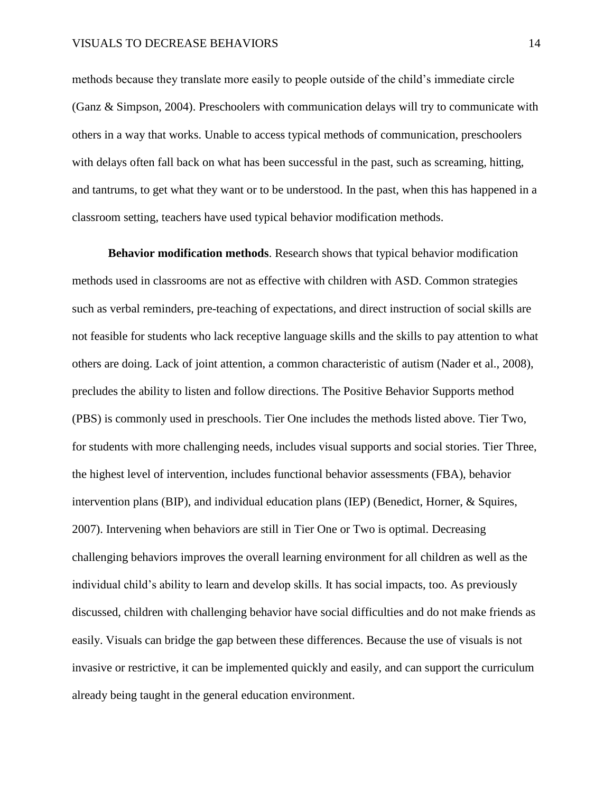methods because they translate more easily to people outside of the child's immediate circle (Ganz & Simpson, 2004). Preschoolers with communication delays will try to communicate with others in a way that works. Unable to access typical methods of communication, preschoolers with delays often fall back on what has been successful in the past, such as screaming, hitting, and tantrums, to get what they want or to be understood. In the past, when this has happened in a classroom setting, teachers have used typical behavior modification methods.

**Behavior modification methods**. Research shows that typical behavior modification methods used in classrooms are not as effective with children with ASD. Common strategies such as verbal reminders, pre-teaching of expectations, and direct instruction of social skills are not feasible for students who lack receptive language skills and the skills to pay attention to what others are doing. Lack of joint attention, a common characteristic of autism (Nader et al., 2008), precludes the ability to listen and follow directions. The Positive Behavior Supports method (PBS) is commonly used in preschools. Tier One includes the methods listed above. Tier Two, for students with more challenging needs, includes visual supports and social stories. Tier Three, the highest level of intervention, includes functional behavior assessments (FBA), behavior intervention plans (BIP), and individual education plans (IEP) (Benedict, Horner, & Squires, 2007). Intervening when behaviors are still in Tier One or Two is optimal. Decreasing challenging behaviors improves the overall learning environment for all children as well as the individual child's ability to learn and develop skills. It has social impacts, too. As previously discussed, children with challenging behavior have social difficulties and do not make friends as easily. Visuals can bridge the gap between these differences. Because the use of visuals is not invasive or restrictive, it can be implemented quickly and easily, and can support the curriculum already being taught in the general education environment.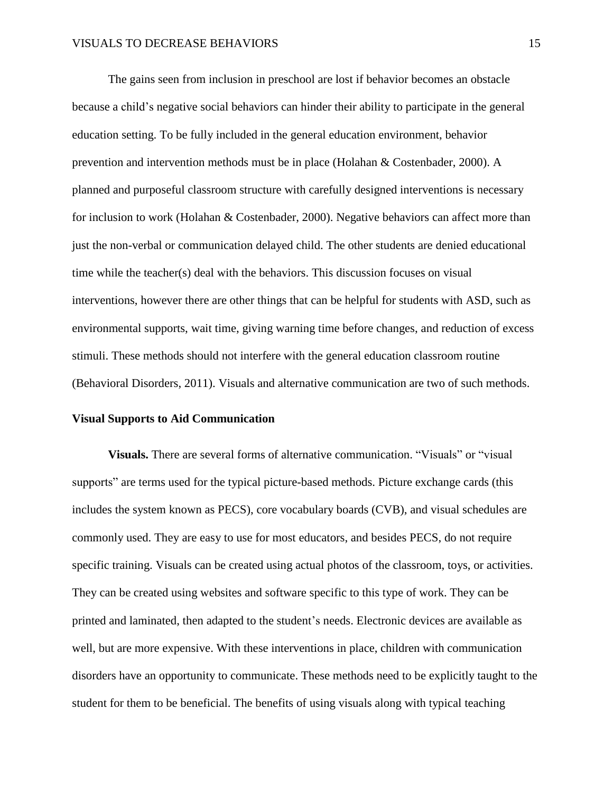The gains seen from inclusion in preschool are lost if behavior becomes an obstacle because a child's negative social behaviors can hinder their ability to participate in the general education setting. To be fully included in the general education environment, behavior prevention and intervention methods must be in place (Holahan & Costenbader, 2000). A planned and purposeful classroom structure with carefully designed interventions is necessary for inclusion to work (Holahan & Costenbader, 2000). Negative behaviors can affect more than just the non-verbal or communication delayed child. The other students are denied educational time while the teacher(s) deal with the behaviors. This discussion focuses on visual interventions, however there are other things that can be helpful for students with ASD, such as environmental supports, wait time, giving warning time before changes, and reduction of excess stimuli. These methods should not interfere with the general education classroom routine (Behavioral Disorders, 2011). Visuals and alternative communication are two of such methods.

## **Visual Supports to Aid Communication**

**Visuals.** There are several forms of alternative communication. "Visuals" or "visual supports" are terms used for the typical picture-based methods. Picture exchange cards (this includes the system known as PECS), core vocabulary boards (CVB), and visual schedules are commonly used. They are easy to use for most educators, and besides PECS, do not require specific training. Visuals can be created using actual photos of the classroom, toys, or activities. They can be created using websites and software specific to this type of work. They can be printed and laminated, then adapted to the student's needs. Electronic devices are available as well, but are more expensive. With these interventions in place, children with communication disorders have an opportunity to communicate. These methods need to be explicitly taught to the student for them to be beneficial. The benefits of using visuals along with typical teaching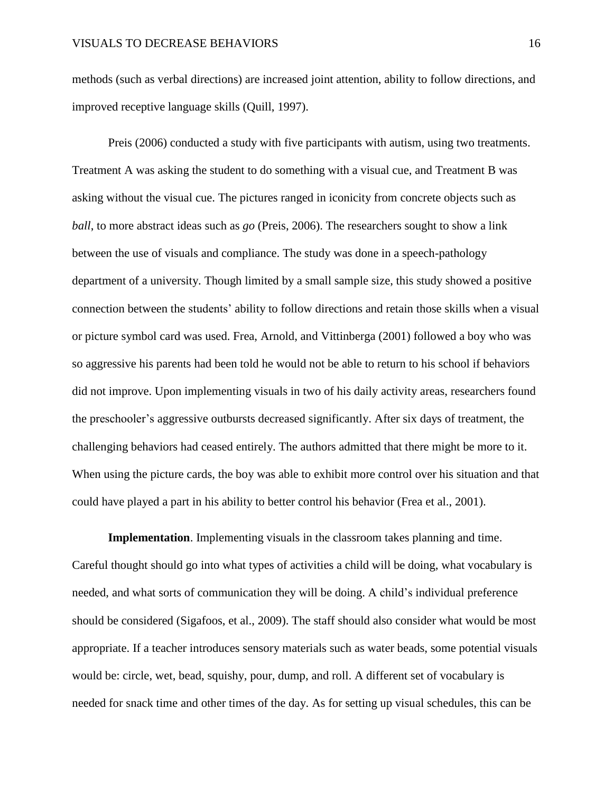methods (such as verbal directions) are increased joint attention, ability to follow directions, and improved receptive language skills (Quill, 1997).

Preis (2006) conducted a study with five participants with autism, using two treatments. Treatment A was asking the student to do something with a visual cue, and Treatment B was asking without the visual cue. The pictures ranged in iconicity from concrete objects such as *ball*, to more abstract ideas such as *go* (Preis, 2006). The researchers sought to show a link between the use of visuals and compliance. The study was done in a speech-pathology department of a university. Though limited by a small sample size, this study showed a positive connection between the students' ability to follow directions and retain those skills when a visual or picture symbol card was used. Frea, Arnold, and Vittinberga (2001) followed a boy who was so aggressive his parents had been told he would not be able to return to his school if behaviors did not improve. Upon implementing visuals in two of his daily activity areas, researchers found the preschooler's aggressive outbursts decreased significantly. After six days of treatment, the challenging behaviors had ceased entirely. The authors admitted that there might be more to it. When using the picture cards, the boy was able to exhibit more control over his situation and that could have played a part in his ability to better control his behavior (Frea et al., 2001).

**Implementation**. Implementing visuals in the classroom takes planning and time. Careful thought should go into what types of activities a child will be doing, what vocabulary is needed, and what sorts of communication they will be doing. A child's individual preference should be considered (Sigafoos, et al., 2009). The staff should also consider what would be most appropriate. If a teacher introduces sensory materials such as water beads, some potential visuals would be: circle, wet, bead, squishy, pour, dump, and roll. A different set of vocabulary is needed for snack time and other times of the day. As for setting up visual schedules, this can be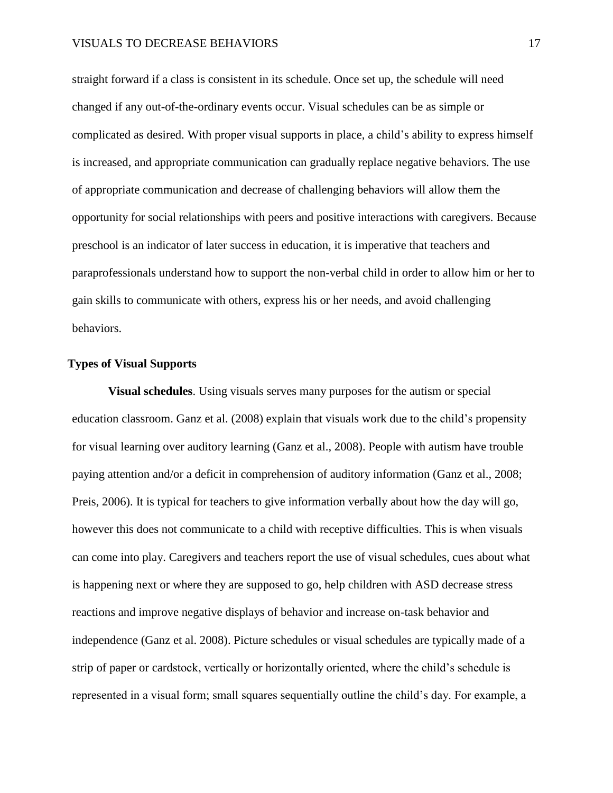straight forward if a class is consistent in its schedule. Once set up, the schedule will need changed if any out-of-the-ordinary events occur. Visual schedules can be as simple or complicated as desired. With proper visual supports in place, a child's ability to express himself is increased, and appropriate communication can gradually replace negative behaviors. The use of appropriate communication and decrease of challenging behaviors will allow them the opportunity for social relationships with peers and positive interactions with caregivers. Because preschool is an indicator of later success in education, it is imperative that teachers and paraprofessionals understand how to support the non-verbal child in order to allow him or her to gain skills to communicate with others, express his or her needs, and avoid challenging behaviors.

## **Types of Visual Supports**

**Visual schedules**. Using visuals serves many purposes for the autism or special education classroom. Ganz et al. (2008) explain that visuals work due to the child's propensity for visual learning over auditory learning (Ganz et al., 2008). People with autism have trouble paying attention and/or a deficit in comprehension of auditory information (Ganz et al., 2008; Preis, 2006). It is typical for teachers to give information verbally about how the day will go, however this does not communicate to a child with receptive difficulties. This is when visuals can come into play. Caregivers and teachers report the use of visual schedules, cues about what is happening next or where they are supposed to go, help children with ASD decrease stress reactions and improve negative displays of behavior and increase on-task behavior and independence (Ganz et al. 2008). Picture schedules or visual schedules are typically made of a strip of paper or cardstock, vertically or horizontally oriented, where the child's schedule is represented in a visual form; small squares sequentially outline the child's day. For example, a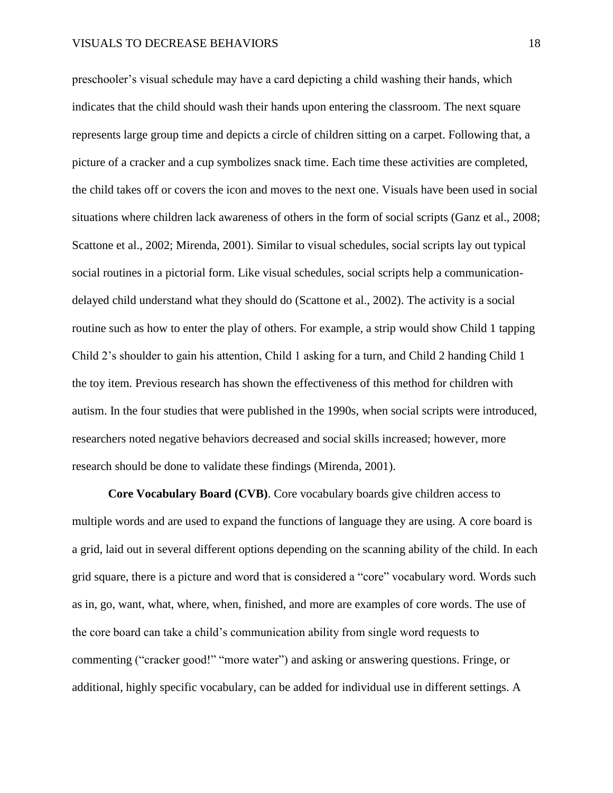preschooler's visual schedule may have a card depicting a child washing their hands, which indicates that the child should wash their hands upon entering the classroom. The next square represents large group time and depicts a circle of children sitting on a carpet. Following that, a picture of a cracker and a cup symbolizes snack time. Each time these activities are completed, the child takes off or covers the icon and moves to the next one. Visuals have been used in social situations where children lack awareness of others in the form of social scripts (Ganz et al., 2008; Scattone et al., 2002; Mirenda, 2001). Similar to visual schedules, social scripts lay out typical social routines in a pictorial form. Like visual schedules, social scripts help a communicationdelayed child understand what they should do (Scattone et al., 2002). The activity is a social routine such as how to enter the play of others. For example, a strip would show Child 1 tapping Child 2's shoulder to gain his attention, Child 1 asking for a turn, and Child 2 handing Child 1 the toy item. Previous research has shown the effectiveness of this method for children with autism. In the four studies that were published in the 1990s, when social scripts were introduced, researchers noted negative behaviors decreased and social skills increased; however, more research should be done to validate these findings (Mirenda, 2001).

**Core Vocabulary Board (CVB)**. Core vocabulary boards give children access to multiple words and are used to expand the functions of language they are using. A core board is a grid, laid out in several different options depending on the scanning ability of the child. In each grid square, there is a picture and word that is considered a "core" vocabulary word. Words such as in, go, want, what, where, when, finished, and more are examples of core words. The use of the core board can take a child's communication ability from single word requests to commenting ("cracker good!" "more water") and asking or answering questions. Fringe, or additional, highly specific vocabulary, can be added for individual use in different settings. A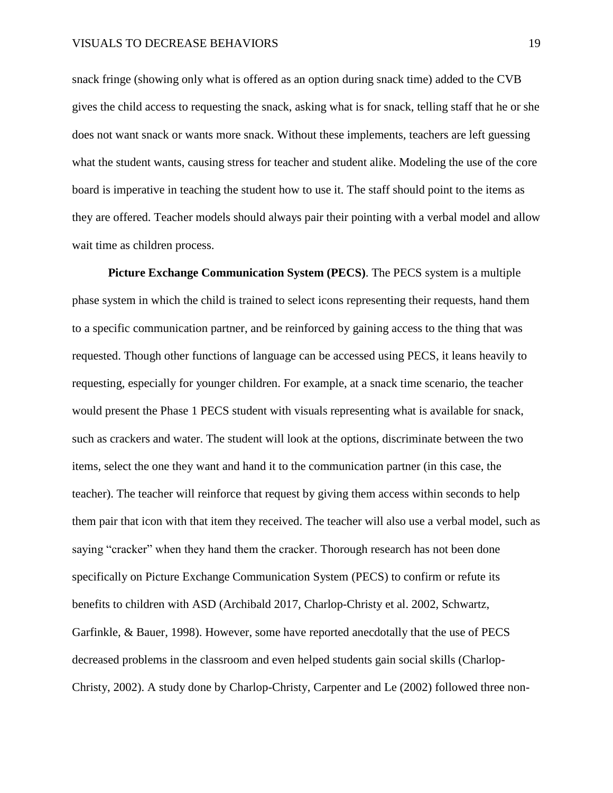snack fringe (showing only what is offered as an option during snack time) added to the CVB gives the child access to requesting the snack, asking what is for snack, telling staff that he or she does not want snack or wants more snack. Without these implements, teachers are left guessing what the student wants, causing stress for teacher and student alike. Modeling the use of the core board is imperative in teaching the student how to use it. The staff should point to the items as they are offered. Teacher models should always pair their pointing with a verbal model and allow wait time as children process.

**Picture Exchange Communication System (PECS)**. The PECS system is a multiple phase system in which the child is trained to select icons representing their requests, hand them to a specific communication partner, and be reinforced by gaining access to the thing that was requested. Though other functions of language can be accessed using PECS, it leans heavily to requesting, especially for younger children. For example, at a snack time scenario, the teacher would present the Phase 1 PECS student with visuals representing what is available for snack, such as crackers and water. The student will look at the options, discriminate between the two items, select the one they want and hand it to the communication partner (in this case, the teacher). The teacher will reinforce that request by giving them access within seconds to help them pair that icon with that item they received. The teacher will also use a verbal model, such as saying "cracker" when they hand them the cracker. Thorough research has not been done specifically on Picture Exchange Communication System (PECS) to confirm or refute its benefits to children with ASD (Archibald 2017, Charlop-Christy et al. 2002, Schwartz, Garfinkle, & Bauer, 1998). However, some have reported anecdotally that the use of PECS decreased problems in the classroom and even helped students gain social skills (Charlop-Christy, 2002). A study done by Charlop-Christy, Carpenter and Le (2002) followed three non-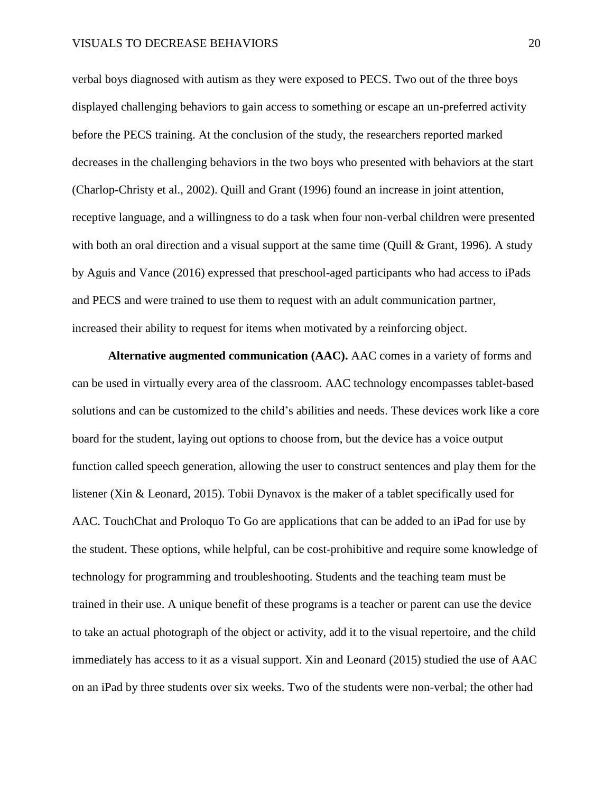verbal boys diagnosed with autism as they were exposed to PECS. Two out of the three boys displayed challenging behaviors to gain access to something or escape an un-preferred activity before the PECS training. At the conclusion of the study, the researchers reported marked decreases in the challenging behaviors in the two boys who presented with behaviors at the start (Charlop-Christy et al., 2002). Quill and Grant (1996) found an increase in joint attention, receptive language, and a willingness to do a task when four non-verbal children were presented with both an oral direction and a visual support at the same time (Quill  $\&$  Grant, 1996). A study by Aguis and Vance (2016) expressed that preschool-aged participants who had access to iPads and PECS and were trained to use them to request with an adult communication partner, increased their ability to request for items when motivated by a reinforcing object.

**Alternative augmented communication (AAC).** AAC comes in a variety of forms and can be used in virtually every area of the classroom. AAC technology encompasses tablet-based solutions and can be customized to the child's abilities and needs. These devices work like a core board for the student, laying out options to choose from, but the device has a voice output function called speech generation, allowing the user to construct sentences and play them for the listener (Xin & Leonard, 2015). Tobii Dynavox is the maker of a tablet specifically used for AAC. TouchChat and Proloquo To Go are applications that can be added to an iPad for use by the student. These options, while helpful, can be cost-prohibitive and require some knowledge of technology for programming and troubleshooting. Students and the teaching team must be trained in their use. A unique benefit of these programs is a teacher or parent can use the device to take an actual photograph of the object or activity, add it to the visual repertoire, and the child immediately has access to it as a visual support. Xin and Leonard (2015) studied the use of AAC on an iPad by three students over six weeks. Two of the students were non-verbal; the other had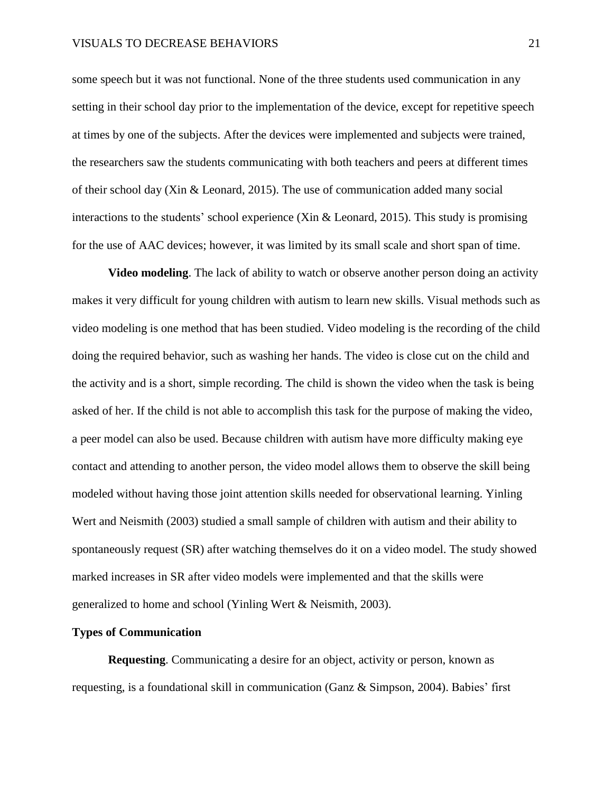some speech but it was not functional. None of the three students used communication in any setting in their school day prior to the implementation of the device, except for repetitive speech at times by one of the subjects. After the devices were implemented and subjects were trained, the researchers saw the students communicating with both teachers and peers at different times of their school day (Xin & Leonard, 2015). The use of communication added many social interactions to the students' school experience (Xin & Leonard, 2015). This study is promising for the use of AAC devices; however, it was limited by its small scale and short span of time.

**Video modeling**. The lack of ability to watch or observe another person doing an activity makes it very difficult for young children with autism to learn new skills. Visual methods such as video modeling is one method that has been studied. Video modeling is the recording of the child doing the required behavior, such as washing her hands. The video is close cut on the child and the activity and is a short, simple recording. The child is shown the video when the task is being asked of her. If the child is not able to accomplish this task for the purpose of making the video, a peer model can also be used. Because children with autism have more difficulty making eye contact and attending to another person, the video model allows them to observe the skill being modeled without having those joint attention skills needed for observational learning. Yinling Wert and Neismith (2003) studied a small sample of children with autism and their ability to spontaneously request (SR) after watching themselves do it on a video model. The study showed marked increases in SR after video models were implemented and that the skills were generalized to home and school (Yinling Wert & Neismith, 2003).

#### **Types of Communication**

**Requesting**. Communicating a desire for an object, activity or person, known as requesting, is a foundational skill in communication (Ganz & Simpson, 2004). Babies' first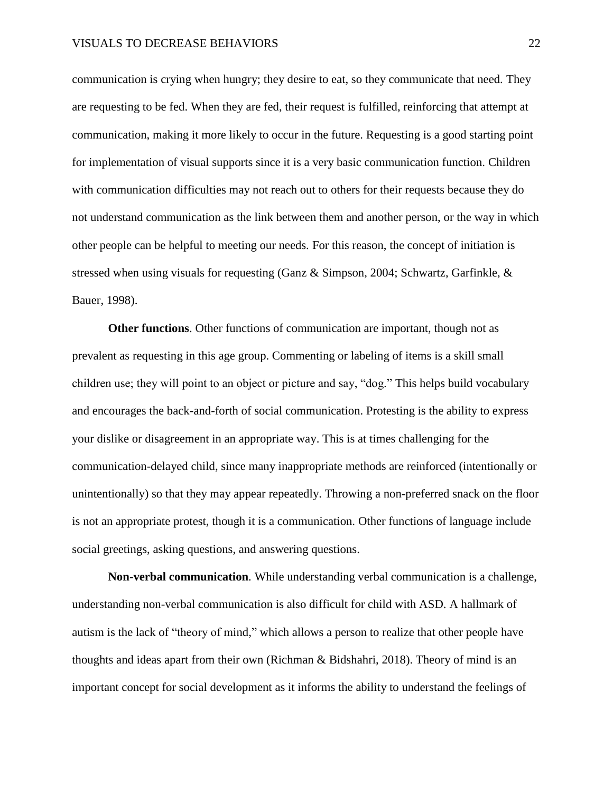communication is crying when hungry; they desire to eat, so they communicate that need. They are requesting to be fed. When they are fed, their request is fulfilled, reinforcing that attempt at communication, making it more likely to occur in the future. Requesting is a good starting point for implementation of visual supports since it is a very basic communication function. Children with communication difficulties may not reach out to others for their requests because they do not understand communication as the link between them and another person, or the way in which other people can be helpful to meeting our needs. For this reason, the concept of initiation is stressed when using visuals for requesting (Ganz & Simpson, 2004; Schwartz, Garfinkle, & Bauer, 1998).

**Other functions**. Other functions of communication are important, though not as prevalent as requesting in this age group. Commenting or labeling of items is a skill small children use; they will point to an object or picture and say, "dog." This helps build vocabulary and encourages the back-and-forth of social communication. Protesting is the ability to express your dislike or disagreement in an appropriate way. This is at times challenging for the communication-delayed child, since many inappropriate methods are reinforced (intentionally or unintentionally) so that they may appear repeatedly. Throwing a non-preferred snack on the floor is not an appropriate protest, though it is a communication. Other functions of language include social greetings, asking questions, and answering questions.

**Non-verbal communication***.* While understanding verbal communication is a challenge, understanding non-verbal communication is also difficult for child with ASD. A hallmark of autism is the lack of "theory of mind," which allows a person to realize that other people have thoughts and ideas apart from their own (Richman & Bidshahri, 2018). Theory of mind is an important concept for social development as it informs the ability to understand the feelings of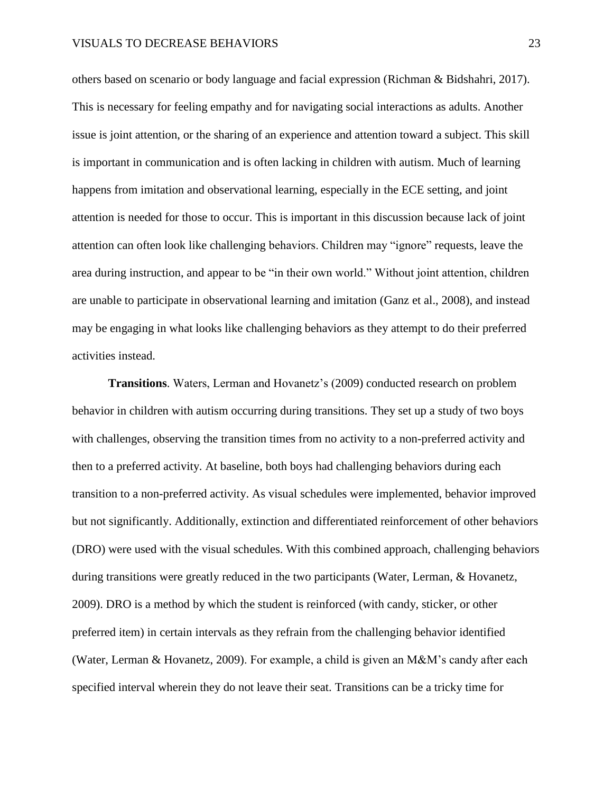others based on scenario or body language and facial expression (Richman & Bidshahri, 2017). This is necessary for feeling empathy and for navigating social interactions as adults. Another issue is joint attention, or the sharing of an experience and attention toward a subject. This skill is important in communication and is often lacking in children with autism. Much of learning happens from imitation and observational learning, especially in the ECE setting, and joint attention is needed for those to occur. This is important in this discussion because lack of joint attention can often look like challenging behaviors. Children may "ignore" requests, leave the area during instruction, and appear to be "in their own world." Without joint attention, children are unable to participate in observational learning and imitation (Ganz et al., 2008), and instead may be engaging in what looks like challenging behaviors as they attempt to do their preferred activities instead.

**Transitions**. Waters, Lerman and Hovanetz's (2009) conducted research on problem behavior in children with autism occurring during transitions. They set up a study of two boys with challenges, observing the transition times from no activity to a non-preferred activity and then to a preferred activity. At baseline, both boys had challenging behaviors during each transition to a non-preferred activity. As visual schedules were implemented, behavior improved but not significantly. Additionally, extinction and differentiated reinforcement of other behaviors (DRO) were used with the visual schedules. With this combined approach, challenging behaviors during transitions were greatly reduced in the two participants (Water, Lerman, & Hovanetz, 2009). DRO is a method by which the student is reinforced (with candy, sticker, or other preferred item) in certain intervals as they refrain from the challenging behavior identified (Water, Lerman & Hovanetz, 2009). For example, a child is given an M&M's candy after each specified interval wherein they do not leave their seat. Transitions can be a tricky time for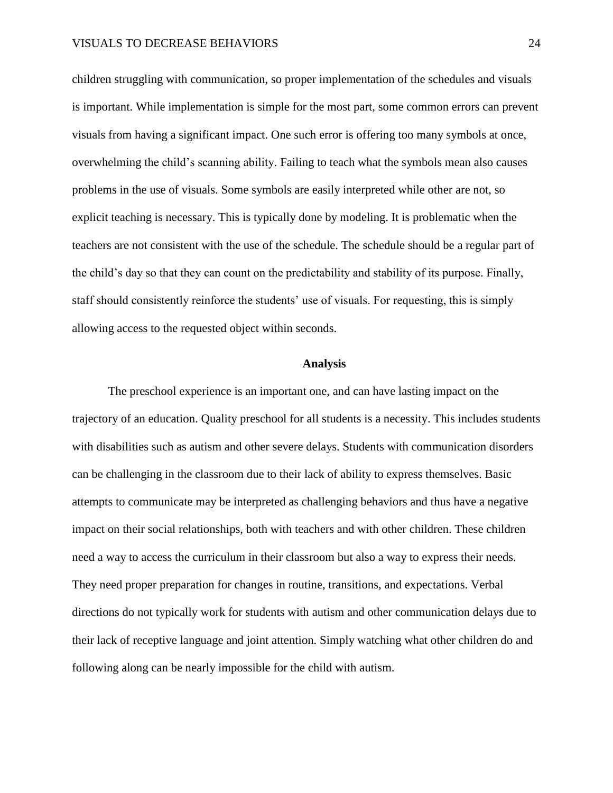children struggling with communication, so proper implementation of the schedules and visuals is important. While implementation is simple for the most part, some common errors can prevent visuals from having a significant impact. One such error is offering too many symbols at once, overwhelming the child's scanning ability. Failing to teach what the symbols mean also causes problems in the use of visuals. Some symbols are easily interpreted while other are not, so explicit teaching is necessary. This is typically done by modeling. It is problematic when the teachers are not consistent with the use of the schedule. The schedule should be a regular part of the child's day so that they can count on the predictability and stability of its purpose. Finally, staff should consistently reinforce the students' use of visuals. For requesting, this is simply allowing access to the requested object within seconds.

#### **Analysis**

<span id="page-24-0"></span>The preschool experience is an important one, and can have lasting impact on the trajectory of an education. Quality preschool for all students is a necessity. This includes students with disabilities such as autism and other severe delays. Students with communication disorders can be challenging in the classroom due to their lack of ability to express themselves. Basic attempts to communicate may be interpreted as challenging behaviors and thus have a negative impact on their social relationships, both with teachers and with other children. These children need a way to access the curriculum in their classroom but also a way to express their needs. They need proper preparation for changes in routine, transitions, and expectations. Verbal directions do not typically work for students with autism and other communication delays due to their lack of receptive language and joint attention. Simply watching what other children do and following along can be nearly impossible for the child with autism.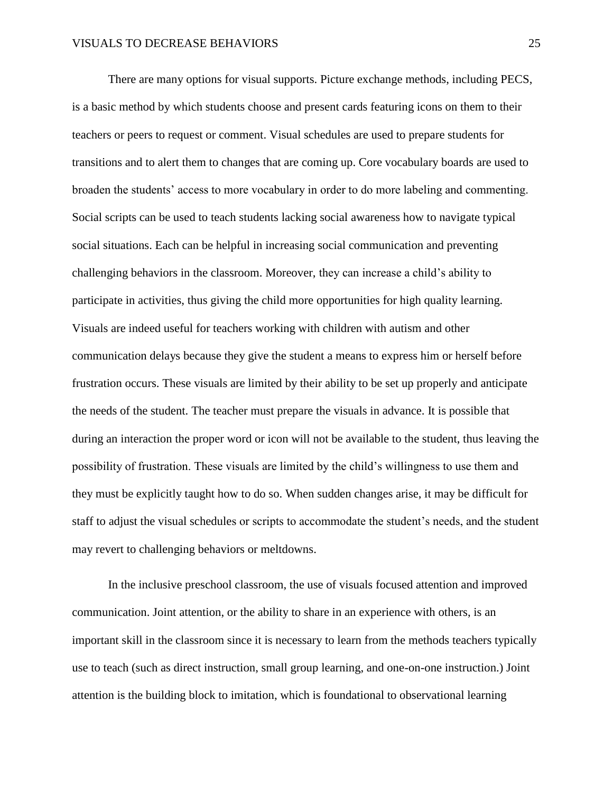There are many options for visual supports. Picture exchange methods, including PECS, is a basic method by which students choose and present cards featuring icons on them to their teachers or peers to request or comment. Visual schedules are used to prepare students for transitions and to alert them to changes that are coming up. Core vocabulary boards are used to broaden the students' access to more vocabulary in order to do more labeling and commenting. Social scripts can be used to teach students lacking social awareness how to navigate typical social situations. Each can be helpful in increasing social communication and preventing challenging behaviors in the classroom. Moreover, they can increase a child's ability to participate in activities, thus giving the child more opportunities for high quality learning. Visuals are indeed useful for teachers working with children with autism and other communication delays because they give the student a means to express him or herself before frustration occurs. These visuals are limited by their ability to be set up properly and anticipate the needs of the student. The teacher must prepare the visuals in advance. It is possible that during an interaction the proper word or icon will not be available to the student, thus leaving the possibility of frustration. These visuals are limited by the child's willingness to use them and they must be explicitly taught how to do so. When sudden changes arise, it may be difficult for staff to adjust the visual schedules or scripts to accommodate the student's needs, and the student may revert to challenging behaviors or meltdowns.

In the inclusive preschool classroom, the use of visuals focused attention and improved communication. Joint attention, or the ability to share in an experience with others, is an important skill in the classroom since it is necessary to learn from the methods teachers typically use to teach (such as direct instruction, small group learning, and one-on-one instruction.) Joint attention is the building block to imitation, which is foundational to observational learning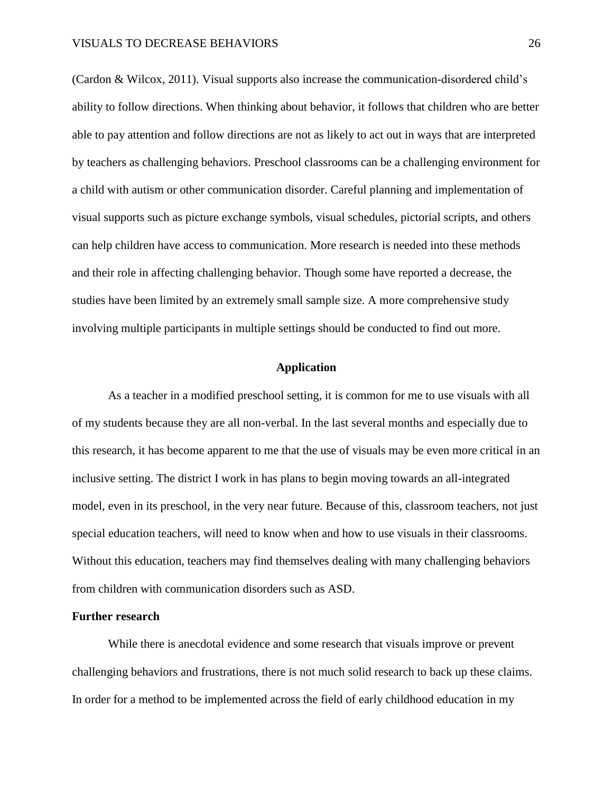(Cardon & Wilcox, 2011). Visual supports also increase the communication-disordered child's ability to follow directions. When thinking about behavior, it follows that children who are better able to pay attention and follow directions are not as likely to act out in ways that are interpreted by teachers as challenging behaviors. Preschool classrooms can be a challenging environment for a child with autism or other communication disorder. Careful planning and implementation of visual supports such as picture exchange symbols, visual schedules, pictorial scripts, and others can help children have access to communication. More research is needed into these methods and their role in affecting challenging behavior. Though some have reported a decrease, the studies have been limited by an extremely small sample size. A more comprehensive study involving multiple participants in multiple settings should be conducted to find out more.

#### **Application**

<span id="page-26-0"></span>As a teacher in a modified preschool setting, it is common for me to use visuals with all of my students because they are all non-verbal. In the last several months and especially due to this research, it has become apparent to me that the use of visuals may be even more critical in an inclusive setting. The district I work in has plans to begin moving towards an all-integrated model, even in its preschool, in the very near future. Because of this, classroom teachers, not just special education teachers, will need to know when and how to use visuals in their classrooms. Without this education, teachers may find themselves dealing with many challenging behaviors from children with communication disorders such as ASD.

#### **Further research**

While there is anecdotal evidence and some research that visuals improve or prevent challenging behaviors and frustrations, there is not much solid research to back up these claims. In order for a method to be implemented across the field of early childhood education in my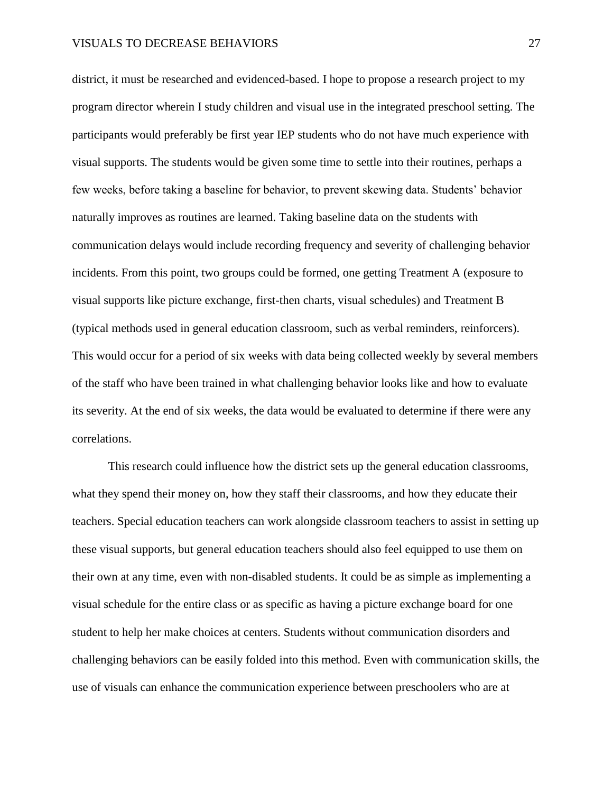district, it must be researched and evidenced-based. I hope to propose a research project to my program director wherein I study children and visual use in the integrated preschool setting. The participants would preferably be first year IEP students who do not have much experience with visual supports. The students would be given some time to settle into their routines, perhaps a few weeks, before taking a baseline for behavior, to prevent skewing data. Students' behavior naturally improves as routines are learned. Taking baseline data on the students with communication delays would include recording frequency and severity of challenging behavior incidents. From this point, two groups could be formed, one getting Treatment A (exposure to visual supports like picture exchange, first-then charts, visual schedules) and Treatment B (typical methods used in general education classroom, such as verbal reminders, reinforcers). This would occur for a period of six weeks with data being collected weekly by several members of the staff who have been trained in what challenging behavior looks like and how to evaluate its severity. At the end of six weeks, the data would be evaluated to determine if there were any correlations.

This research could influence how the district sets up the general education classrooms, what they spend their money on, how they staff their classrooms, and how they educate their teachers. Special education teachers can work alongside classroom teachers to assist in setting up these visual supports, but general education teachers should also feel equipped to use them on their own at any time, even with non-disabled students. It could be as simple as implementing a visual schedule for the entire class or as specific as having a picture exchange board for one student to help her make choices at centers. Students without communication disorders and challenging behaviors can be easily folded into this method. Even with communication skills, the use of visuals can enhance the communication experience between preschoolers who are at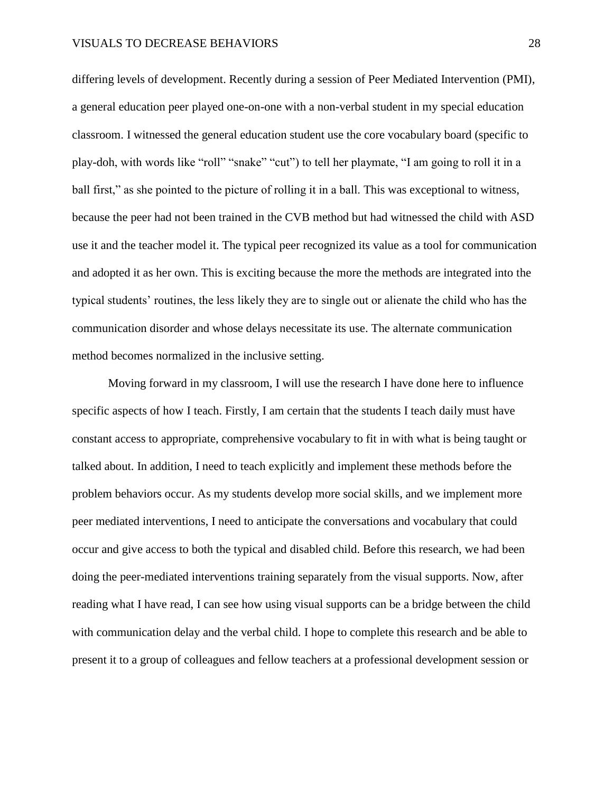differing levels of development. Recently during a session of Peer Mediated Intervention (PMI), a general education peer played one-on-one with a non-verbal student in my special education classroom. I witnessed the general education student use the core vocabulary board (specific to play-doh, with words like "roll" "snake" "cut") to tell her playmate, "I am going to roll it in a ball first," as she pointed to the picture of rolling it in a ball. This was exceptional to witness, because the peer had not been trained in the CVB method but had witnessed the child with ASD use it and the teacher model it. The typical peer recognized its value as a tool for communication and adopted it as her own. This is exciting because the more the methods are integrated into the typical students' routines, the less likely they are to single out or alienate the child who has the communication disorder and whose delays necessitate its use. The alternate communication method becomes normalized in the inclusive setting.

Moving forward in my classroom, I will use the research I have done here to influence specific aspects of how I teach. Firstly, I am certain that the students I teach daily must have constant access to appropriate, comprehensive vocabulary to fit in with what is being taught or talked about. In addition, I need to teach explicitly and implement these methods before the problem behaviors occur. As my students develop more social skills, and we implement more peer mediated interventions, I need to anticipate the conversations and vocabulary that could occur and give access to both the typical and disabled child. Before this research, we had been doing the peer-mediated interventions training separately from the visual supports. Now, after reading what I have read, I can see how using visual supports can be a bridge between the child with communication delay and the verbal child. I hope to complete this research and be able to present it to a group of colleagues and fellow teachers at a professional development session or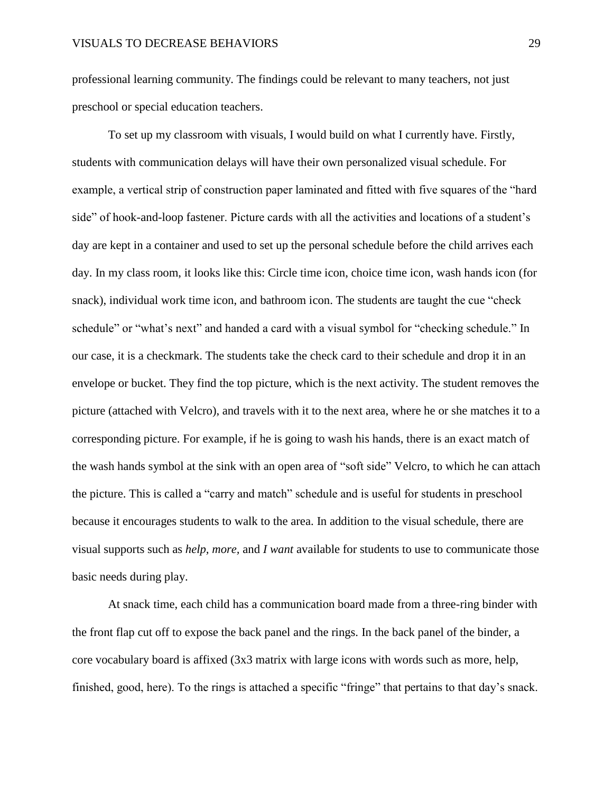professional learning community. The findings could be relevant to many teachers, not just preschool or special education teachers.

To set up my classroom with visuals, I would build on what I currently have. Firstly, students with communication delays will have their own personalized visual schedule. For example, a vertical strip of construction paper laminated and fitted with five squares of the "hard side" of hook-and-loop fastener. Picture cards with all the activities and locations of a student's day are kept in a container and used to set up the personal schedule before the child arrives each day. In my class room, it looks like this: Circle time icon, choice time icon, wash hands icon (for snack), individual work time icon, and bathroom icon. The students are taught the cue "check schedule" or "what's next" and handed a card with a visual symbol for "checking schedule." In our case, it is a checkmark. The students take the check card to their schedule and drop it in an envelope or bucket. They find the top picture, which is the next activity. The student removes the picture (attached with Velcro), and travels with it to the next area, where he or she matches it to a corresponding picture. For example, if he is going to wash his hands, there is an exact match of the wash hands symbol at the sink with an open area of "soft side" Velcro, to which he can attach the picture. This is called a "carry and match" schedule and is useful for students in preschool because it encourages students to walk to the area. In addition to the visual schedule, there are visual supports such as *help, more,* and *I want* available for students to use to communicate those basic needs during play.

At snack time, each child has a communication board made from a three-ring binder with the front flap cut off to expose the back panel and the rings. In the back panel of the binder, a core vocabulary board is affixed (3x3 matrix with large icons with words such as more, help, finished, good, here). To the rings is attached a specific "fringe" that pertains to that day's snack.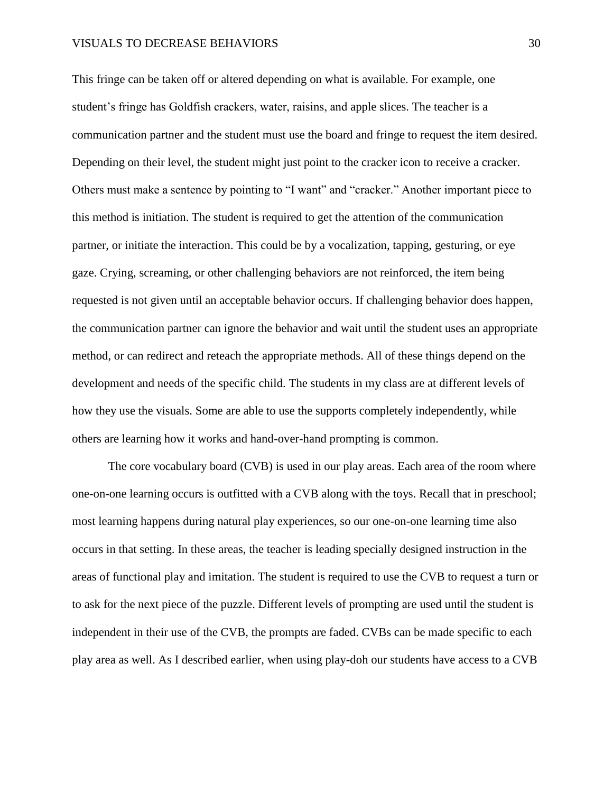This fringe can be taken off or altered depending on what is available. For example, one student's fringe has Goldfish crackers, water, raisins, and apple slices. The teacher is a communication partner and the student must use the board and fringe to request the item desired. Depending on their level, the student might just point to the cracker icon to receive a cracker. Others must make a sentence by pointing to "I want" and "cracker." Another important piece to this method is initiation. The student is required to get the attention of the communication partner, or initiate the interaction. This could be by a vocalization, tapping, gesturing, or eye gaze. Crying, screaming, or other challenging behaviors are not reinforced, the item being requested is not given until an acceptable behavior occurs. If challenging behavior does happen, the communication partner can ignore the behavior and wait until the student uses an appropriate method, or can redirect and reteach the appropriate methods. All of these things depend on the development and needs of the specific child. The students in my class are at different levels of how they use the visuals. Some are able to use the supports completely independently, while others are learning how it works and hand-over-hand prompting is common.

The core vocabulary board (CVB) is used in our play areas. Each area of the room where one-on-one learning occurs is outfitted with a CVB along with the toys. Recall that in preschool; most learning happens during natural play experiences, so our one-on-one learning time also occurs in that setting. In these areas, the teacher is leading specially designed instruction in the areas of functional play and imitation. The student is required to use the CVB to request a turn or to ask for the next piece of the puzzle. Different levels of prompting are used until the student is independent in their use of the CVB, the prompts are faded. CVBs can be made specific to each play area as well. As I described earlier, when using play-doh our students have access to a CVB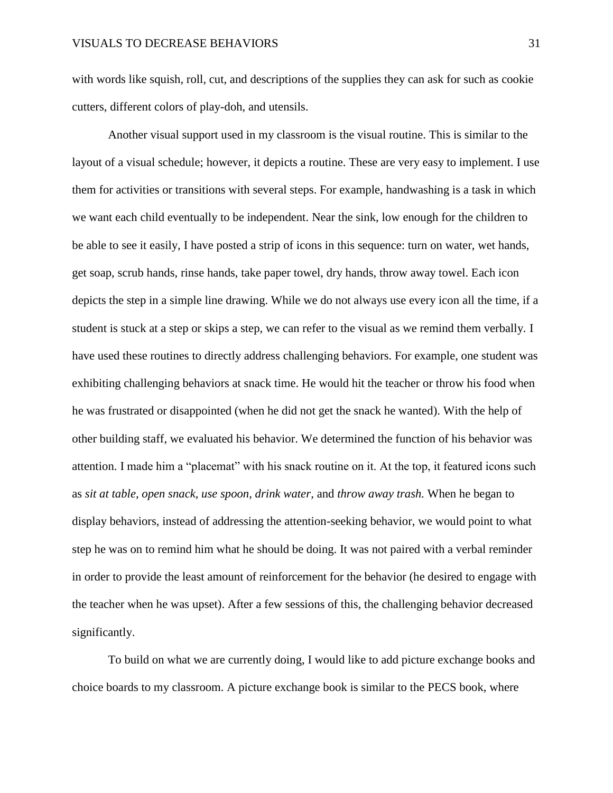with words like squish, roll, cut, and descriptions of the supplies they can ask for such as cookie cutters, different colors of play-doh, and utensils.

Another visual support used in my classroom is the visual routine. This is similar to the layout of a visual schedule; however, it depicts a routine. These are very easy to implement. I use them for activities or transitions with several steps. For example, handwashing is a task in which we want each child eventually to be independent. Near the sink, low enough for the children to be able to see it easily, I have posted a strip of icons in this sequence: turn on water, wet hands, get soap, scrub hands, rinse hands, take paper towel, dry hands, throw away towel. Each icon depicts the step in a simple line drawing. While we do not always use every icon all the time, if a student is stuck at a step or skips a step, we can refer to the visual as we remind them verbally. I have used these routines to directly address challenging behaviors. For example, one student was exhibiting challenging behaviors at snack time. He would hit the teacher or throw his food when he was frustrated or disappointed (when he did not get the snack he wanted). With the help of other building staff, we evaluated his behavior. We determined the function of his behavior was attention. I made him a "placemat" with his snack routine on it. At the top, it featured icons such as *sit at table, open snack, use spoon, drink water,* and *throw away trash.* When he began to display behaviors, instead of addressing the attention-seeking behavior, we would point to what step he was on to remind him what he should be doing. It was not paired with a verbal reminder in order to provide the least amount of reinforcement for the behavior (he desired to engage with the teacher when he was upset). After a few sessions of this, the challenging behavior decreased significantly.

To build on what we are currently doing, I would like to add picture exchange books and choice boards to my classroom. A picture exchange book is similar to the PECS book, where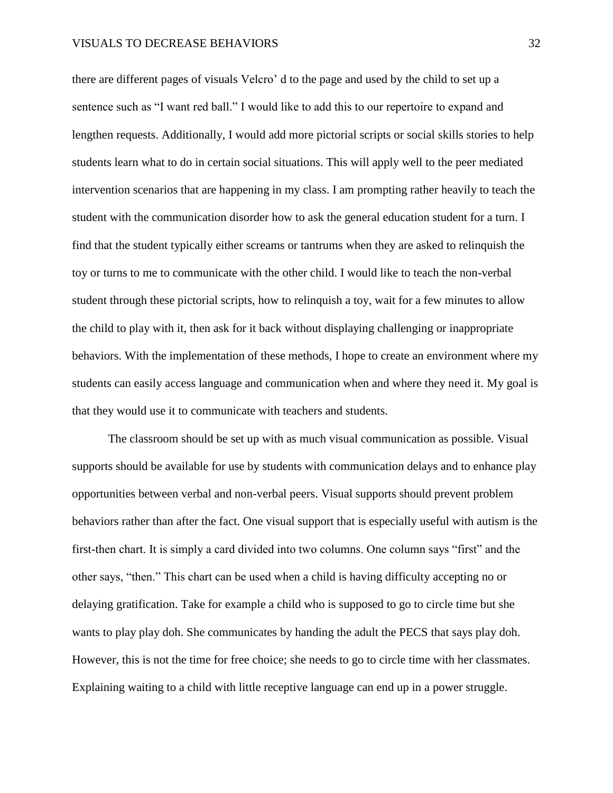there are different pages of visuals Velcro' d to the page and used by the child to set up a sentence such as "I want red ball." I would like to add this to our repertoire to expand and lengthen requests. Additionally, I would add more pictorial scripts or social skills stories to help students learn what to do in certain social situations. This will apply well to the peer mediated intervention scenarios that are happening in my class. I am prompting rather heavily to teach the student with the communication disorder how to ask the general education student for a turn. I find that the student typically either screams or tantrums when they are asked to relinquish the toy or turns to me to communicate with the other child. I would like to teach the non-verbal student through these pictorial scripts, how to relinquish a toy, wait for a few minutes to allow the child to play with it, then ask for it back without displaying challenging or inappropriate behaviors. With the implementation of these methods, I hope to create an environment where my students can easily access language and communication when and where they need it. My goal is that they would use it to communicate with teachers and students.

The classroom should be set up with as much visual communication as possible. Visual supports should be available for use by students with communication delays and to enhance play opportunities between verbal and non-verbal peers. Visual supports should prevent problem behaviors rather than after the fact. One visual support that is especially useful with autism is the first-then chart. It is simply a card divided into two columns. One column says "first" and the other says, "then." This chart can be used when a child is having difficulty accepting no or delaying gratification. Take for example a child who is supposed to go to circle time but she wants to play play doh. She communicates by handing the adult the PECS that says play doh. However, this is not the time for free choice; she needs to go to circle time with her classmates. Explaining waiting to a child with little receptive language can end up in a power struggle.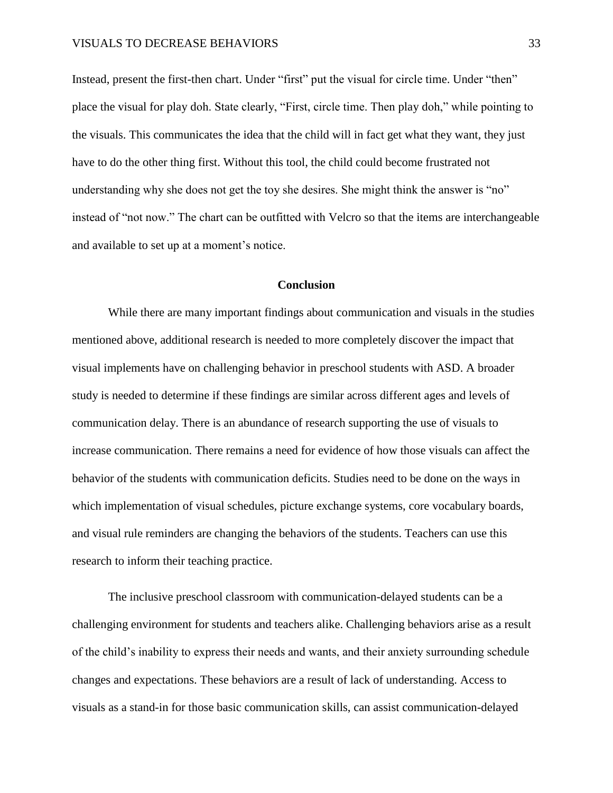Instead, present the first-then chart. Under "first" put the visual for circle time. Under "then" place the visual for play doh. State clearly, "First, circle time. Then play doh," while pointing to the visuals. This communicates the idea that the child will in fact get what they want, they just have to do the other thing first. Without this tool, the child could become frustrated not understanding why she does not get the toy she desires. She might think the answer is "no" instead of "not now." The chart can be outfitted with Velcro so that the items are interchangeable and available to set up at a moment's notice.

#### **Conclusion**

<span id="page-33-0"></span>While there are many important findings about communication and visuals in the studies mentioned above, additional research is needed to more completely discover the impact that visual implements have on challenging behavior in preschool students with ASD. A broader study is needed to determine if these findings are similar across different ages and levels of communication delay. There is an abundance of research supporting the use of visuals to increase communication. There remains a need for evidence of how those visuals can affect the behavior of the students with communication deficits. Studies need to be done on the ways in which implementation of visual schedules, picture exchange systems, core vocabulary boards, and visual rule reminders are changing the behaviors of the students. Teachers can use this research to inform their teaching practice.

The inclusive preschool classroom with communication-delayed students can be a challenging environment for students and teachers alike. Challenging behaviors arise as a result of the child's inability to express their needs and wants, and their anxiety surrounding schedule changes and expectations. These behaviors are a result of lack of understanding. Access to visuals as a stand-in for those basic communication skills, can assist communication-delayed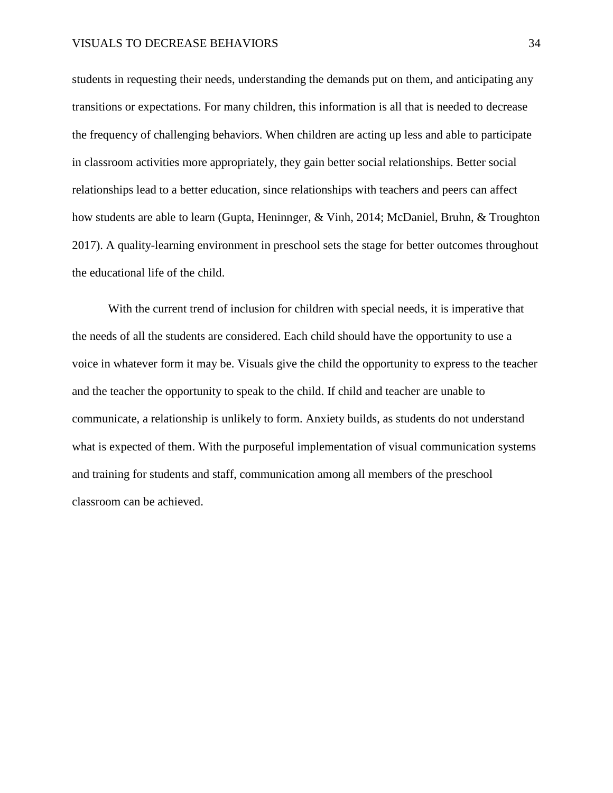students in requesting their needs, understanding the demands put on them, and anticipating any transitions or expectations. For many children, this information is all that is needed to decrease the frequency of challenging behaviors. When children are acting up less and able to participate in classroom activities more appropriately, they gain better social relationships. Better social relationships lead to a better education, since relationships with teachers and peers can affect how students are able to learn (Gupta, Heninnger, & Vinh, 2014; McDaniel, Bruhn, & Troughton 2017). A quality-learning environment in preschool sets the stage for better outcomes throughout the educational life of the child.

With the current trend of inclusion for children with special needs, it is imperative that the needs of all the students are considered. Each child should have the opportunity to use a voice in whatever form it may be. Visuals give the child the opportunity to express to the teacher and the teacher the opportunity to speak to the child. If child and teacher are unable to communicate, a relationship is unlikely to form. Anxiety builds, as students do not understand what is expected of them. With the purposeful implementation of visual communication systems and training for students and staff, communication among all members of the preschool classroom can be achieved.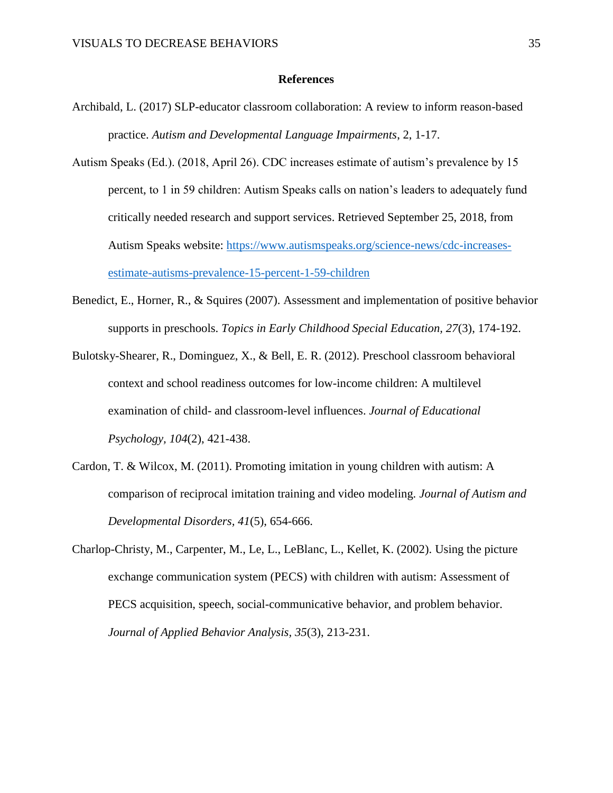#### **References**

- <span id="page-35-0"></span>Archibald, L. (2017) SLP-educator classroom collaboration: A review to inform reason-based practice. *Autism and Developmental Language Impairments*, 2, 1-17.
- Autism Speaks (Ed.). (2018, April 26). CDC increases estimate of autism's prevalence by 15 percent, to 1 in 59 children: Autism Speaks calls on nation's leaders to adequately fund critically needed research and support services. Retrieved September 25, 2018, from Autism Speaks website: [https://www.autismspeaks.org/science-news/cdc-increases](https://www.autismspeaks.org/science-news/cdc-increases-estimate-autisms-prevalence-15-percent-1-59-children)[estimate-autisms-prevalence-15-percent-1-59-children](https://www.autismspeaks.org/science-news/cdc-increases-estimate-autisms-prevalence-15-percent-1-59-children)
- Benedict, E., Horner, R., & Squires (2007). Assessment and implementation of positive behavior supports in preschools. *Topics in Early Childhood Special Education, 27*(3), 174-192.
- Bulotsky-Shearer, R., Dominguez, X., & Bell, E. R. (2012). Preschool classroom behavioral context and school readiness outcomes for low-income children: A multilevel examination of child- and classroom-level influences. *Journal of Educational Psychology, 104*(2), 421-438.
- Cardon, T. & Wilcox, M. (2011). Promoting imitation in young children with autism: A comparison of reciprocal imitation training and video modeling. *Journal of Autism and Developmental Disorders, 41*(5), 654-666.
- Charlop-Christy, M., Carpenter, M., Le, L., LeBlanc, L., Kellet, K. (2002). Using the picture exchange communication system (PECS) with children with autism: Assessment of PECS acquisition, speech, social-communicative behavior, and problem behavior. *Journal of Applied Behavior Analysis, 35*(3), 213-231.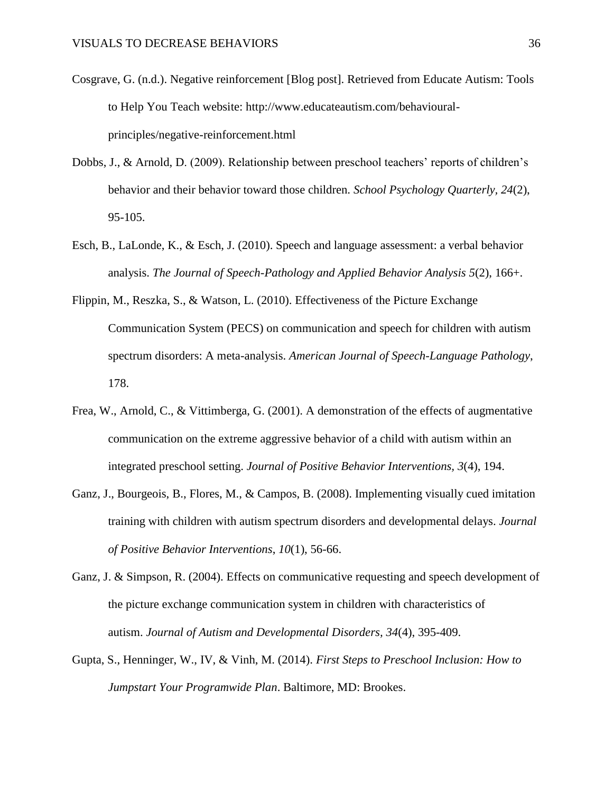- Cosgrave, G. (n.d.). Negative reinforcement [Blog post]. Retrieved from Educate Autism: Tools to Help You Teach website: http://www.educateautism.com/behaviouralprinciples/negative-reinforcement.html
- Dobbs, J., & Arnold, D. (2009). Relationship between preschool teachers' reports of children's behavior and their behavior toward those children. *School Psychology Quarterly, 24*(2), 95-105.
- Esch, B., LaLonde, K., & Esch, J. (2010). Speech and language assessment: a verbal behavior analysis. *The Journal of Speech-Pathology and Applied Behavior Analysis 5*(2), 166+.
- Flippin, M., Reszka, S., & Watson, L. (2010). Effectiveness of the Picture Exchange Communication System (PECS) on communication and speech for children with autism spectrum disorders: A meta-analysis. *American Journal of Speech-Language Pathology*, 178.
- Frea, W., Arnold, C., & Vittimberga, G. (2001). A demonstration of the effects of augmentative communication on the extreme aggressive behavior of a child with autism within an integrated preschool setting. *Journal of Positive Behavior Interventions, 3*(4), 194.
- Ganz, J., Bourgeois, B., Flores, M., & Campos, B. (2008). Implementing visually cued imitation training with children with autism spectrum disorders and developmental delays. *Journal of Positive Behavior Interventions*, *10*(1), 56-66.
- Ganz, J. & Simpson, R. (2004). Effects on communicative requesting and speech development of the picture exchange communication system in children with characteristics of autism. *Journal of Autism and Developmental Disorders, 34*(4), 395-409.
- Gupta, S., Henninger, W., IV, & Vinh, M. (2014). *First Steps to Preschool Inclusion: How to Jumpstart Your Programwide Plan*. Baltimore, MD: Brookes.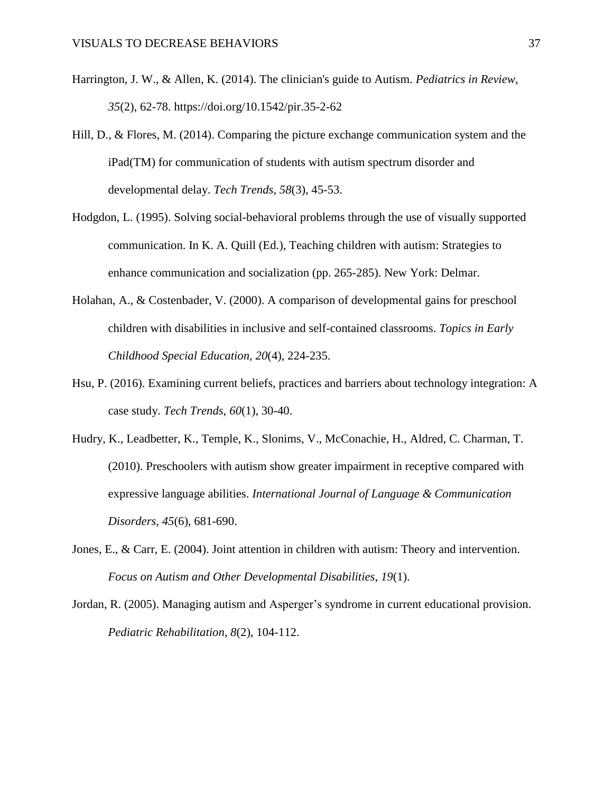- Harrington, J. W., & Allen, K. (2014). The clinician's guide to Autism. *Pediatrics in Review*, *35*(2), 62-78. https://doi.org/10.1542/pir.35-2-62
- Hill, D., & Flores, M. (2014). Comparing the picture exchange communication system and the iPad(TM) for communication of students with autism spectrum disorder and developmental delay. *Tech Trends, 58*(3), 45-53.
- Hodgdon, L. (1995). Solving social-behavioral problems through the use of visually supported communication. In K. A. Quill (Ed.), Teaching children with autism: Strategies to enhance communication and socialization (pp. 265-285). New York: Delmar.
- Holahan, A., & Costenbader, V. (2000). A comparison of developmental gains for preschool children with disabilities in inclusive and self-contained classrooms. *Topics in Early Childhood Special Education, 20*(4), 224-235.
- Hsu, P. (2016). Examining current beliefs, practices and barriers about technology integration: A case study. *Tech Trends, 60*(1), 30-40.
- Hudry, K., Leadbetter, K., Temple, K., Slonims, V., McConachie, H., Aldred, C. Charman, T. (2010). Preschoolers with autism show greater impairment in receptive compared with expressive language abilities. *International Journal of Language & Communication Disorders, 45*(6), 681-690.
- Jones, E., & Carr, E. (2004). Joint attention in children with autism: Theory and intervention. *Focus on Autism and Other Developmental Disabilities*, *19*(1).
- Jordan, R. (2005). Managing autism and Asperger's syndrome in current educational provision. *Pediatric Rehabilitation*, *8*(2), 104-112.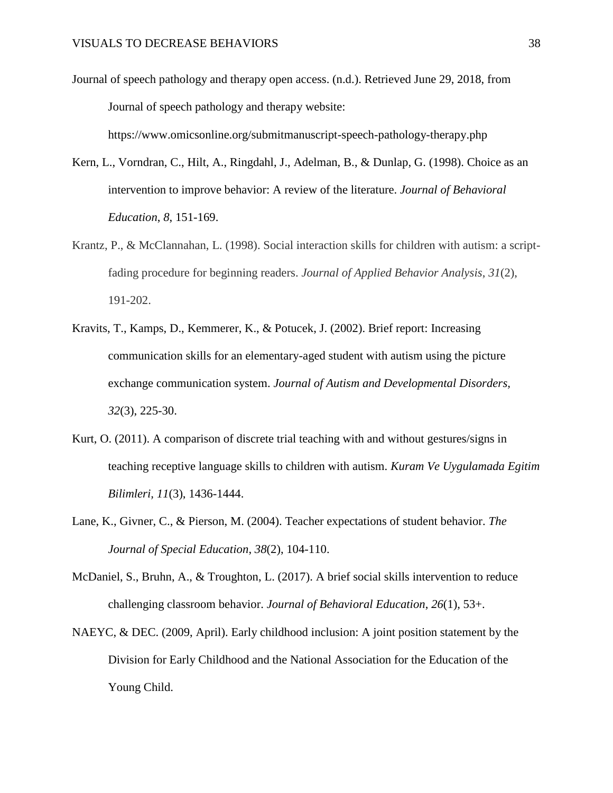Journal of speech pathology and therapy open access. (n.d.). Retrieved June 29, 2018, from Journal of speech pathology and therapy website:

https://www.omicsonline.org/submitmanuscript-speech-pathology-therapy.php

- Kern, L., Vorndran, C., Hilt, A., Ringdahl, J., Adelman, B., & Dunlap, G. (1998). Choice as an intervention to improve behavior: A review of the literature. *Journal of Behavioral Education*, *8*, 151-169.
- Krantz, P., & McClannahan, L. (1998). Social interaction skills for children with autism: a scriptfading procedure for beginning readers. *Journal of Applied Behavior Analysis*, *31*(2), 191-202.
- Kravits, T., Kamps, D., Kemmerer, K., & Potucek, J. (2002). Brief report: Increasing communication skills for an elementary-aged student with autism using the picture exchange communication system. *Journal of Autism and Developmental Disorders, 32*(3), 225-30.
- Kurt, O. (2011). A comparison of discrete trial teaching with and without gestures/signs in teaching receptive language skills to children with autism. *Kuram Ve Uygulamada Egitim Bilimleri, 11*(3), 1436-1444.
- Lane, K., Givner, C., & Pierson, M. (2004). Teacher expectations of student behavior. *The Journal of Special Education*, *38*(2), 104-110.
- McDaniel, S., Bruhn, A., & Troughton, L. (2017). A brief social skills intervention to reduce challenging classroom behavior. *Journal of Behavioral Education*, *26*(1), 53+.
- NAEYC, & DEC. (2009, April). Early childhood inclusion: A joint position statement by the Division for Early Childhood and the National Association for the Education of the Young Child.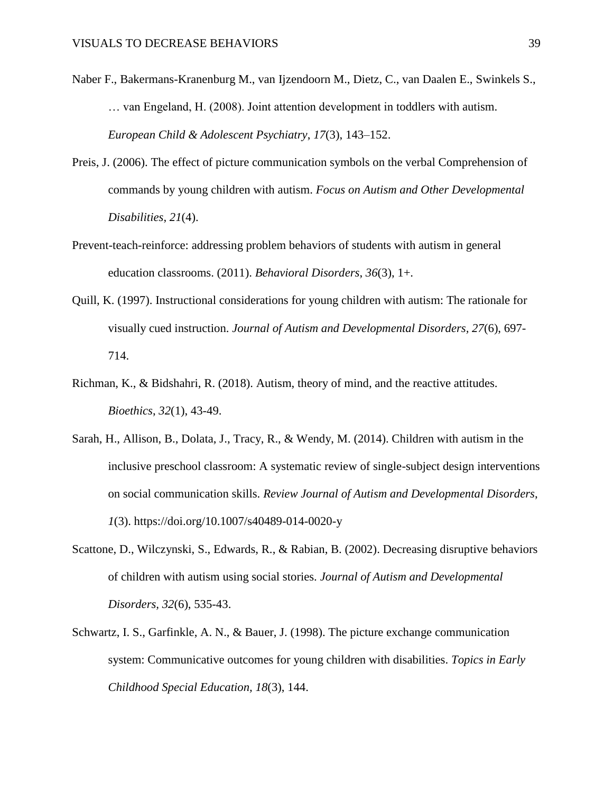- Naber F., Bakermans-Kranenburg M., van Ijzendoorn M., Dietz, C., van Daalen E., Swinkels S., … van Engeland, H. (2008). Joint attention development in toddlers with autism. *European Child & Adolescent Psychiatry*, *17*(3), 143–152.
- Preis, J. (2006). The effect of picture communication symbols on the verbal Comprehension of commands by young children with autism. *Focus on Autism and Other Developmental Disabilities*, *21*(4).
- Prevent-teach-reinforce: addressing problem behaviors of students with autism in general education classrooms. (2011). *Behavioral Disorders*, *36*(3), 1+.
- Quill, K. (1997). Instructional considerations for young children with autism: The rationale for visually cued instruction. *Journal of Autism and Developmental Disorders, 27*(6), 697- 714.
- Richman, K., & Bidshahri, R. (2018). Autism, theory of mind, and the reactive attitudes. *Bioethics*, *32*(1), 43-49.
- Sarah, H., Allison, B., Dolata, J., Tracy, R., & Wendy, M. (2014). Children with autism in the inclusive preschool classroom: A systematic review of single-subject design interventions on social communication skills. *Review Journal of Autism and Developmental Disorders*, *1*(3). https://doi.org/10.1007/s40489-014-0020-y
- Scattone, D., Wilczynski, S., Edwards, R., & Rabian, B. (2002). Decreasing disruptive behaviors of children with autism using social stories. *Journal of Autism and Developmental Disorders, 32*(6), 535-43.
- Schwartz, I. S., Garfinkle, A. N., & Bauer, J. (1998). The picture exchange communication system: Communicative outcomes for young children with disabilities. *Topics in Early Childhood Special Education, 18*(3), 144.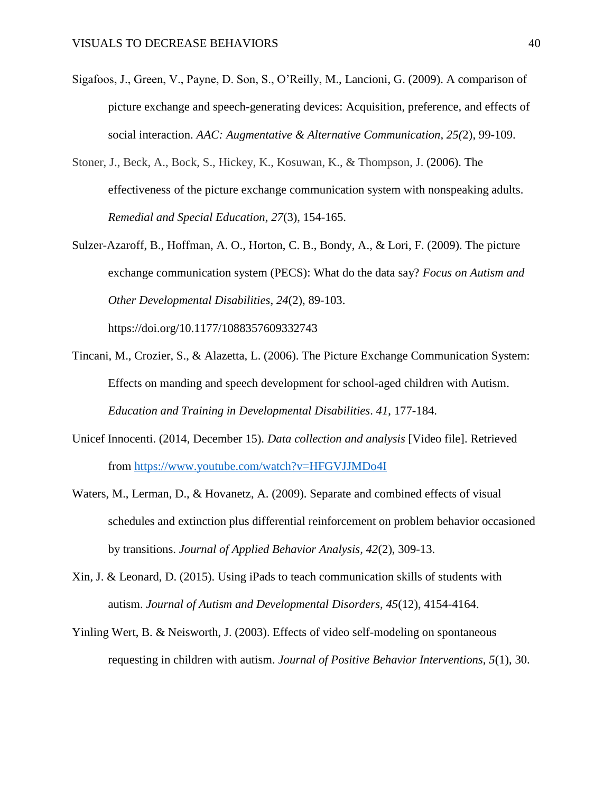- Sigafoos, J., Green, V., Payne, D. Son, S., O'Reilly, M., Lancioni, G. (2009). A comparison of picture exchange and speech-generating devices: Acquisition, preference, and effects of social interaction. *AAC: Augmentative & Alternative Communication, 25(*2), 99-109.
- Stoner, J., Beck, A., Bock, S., Hickey, K., Kosuwan, K., & Thompson, J. (2006). The effectiveness of the picture exchange communication system with nonspeaking adults. *Remedial and Special Education, 27*(3), 154-165.
- Sulzer-Azaroff, B., Hoffman, A. O., Horton, C. B., Bondy, A., & Lori, F. (2009). The picture exchange communication system (PECS): What do the data say? *Focus on Autism and Other Developmental Disabilities*, *24*(2), 89-103.

https://doi.org/10.1177/1088357609332743

- Tincani, M., Crozier, S., & Alazetta, L. (2006). The Picture Exchange Communication System: Effects on manding and speech development for school-aged children with Autism. *Education and Training in Developmental Disabilities*. *41*, 177-184.
- Unicef Innocenti. (2014, December 15). *Data collection and analysis* [Video file]. Retrieved from<https://www.youtube.com/watch?v=HFGVJJMDo4I>
- Waters, M., Lerman, D., & Hovanetz, A. (2009). Separate and combined effects of visual schedules and extinction plus differential reinforcement on problem behavior occasioned by transitions. *Journal of Applied Behavior Analysis, 42*(2), 309-13.
- Xin, J. & Leonard, D. (2015). Using iPads to teach communication skills of students with autism. *Journal of Autism and Developmental Disorders, 45*(12), 4154-4164.
- Yinling Wert, B. & Neisworth, J. (2003). Effects of video self-modeling on spontaneous requesting in children with autism. *Journal of Positive Behavior Interventions, 5*(1), 30.